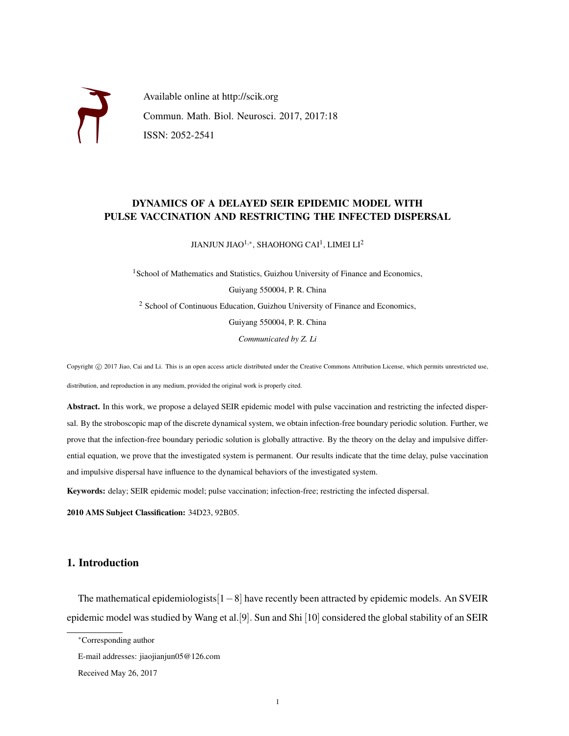

Available online at http://scik.org Commun. Math. Biol. Neurosci. 2017, 2017:18 ISSN: 2052-2541

# DYNAMICS OF A DELAYED SEIR EPIDEMIC MODEL WITH PULSE VACCINATION AND RESTRICTING THE INFECTED DISPERSAL

JIANJUN JIAO $^{1,\ast}$ , SHAOHONG CAI $^{1}$ , LIMEI LI $^{2}$ 

<sup>1</sup> School of Mathematics and Statistics, Guizhou University of Finance and Economics, Guiyang 550004, P. R. China <sup>2</sup> School of Continuous Education, Guizhou University of Finance and Economics, Guiyang 550004, P. R. China *Communicated by Z. Li*

Copyright © 2017 Jiao, Cai and Li. This is an open access article distributed under the Creative Commons Attribution License, which permits unrestricted use, distribution, and reproduction in any medium, provided the original work is properly cited.

Abstract. In this work, we propose a delayed SEIR epidemic model with pulse vaccination and restricting the infected dispersal. By the stroboscopic map of the discrete dynamical system, we obtain infection-free boundary periodic solution. Further, we prove that the infection-free boundary periodic solution is globally attractive. By the theory on the delay and impulsive differential equation, we prove that the investigated system is permanent. Our results indicate that the time delay, pulse vaccination and impulsive dispersal have influence to the dynamical behaviors of the investigated system.

Keywords: delay; SEIR epidemic model; pulse vaccination; infection-free; restricting the infected dispersal.

2010 AMS Subject Classification: 34D23, 92B05.

# 1. Introduction

The mathematical epidemiologists[1−8] have recently been attracted by epidemic models. An SVEIR epidemic model was studied by Wang et al.[9]. Sun and Shi [10] considered the global stability of an SEIR

<sup>∗</sup>Corresponding author

E-mail addresses: jiaojianjun05@126.com

Received May 26, 2017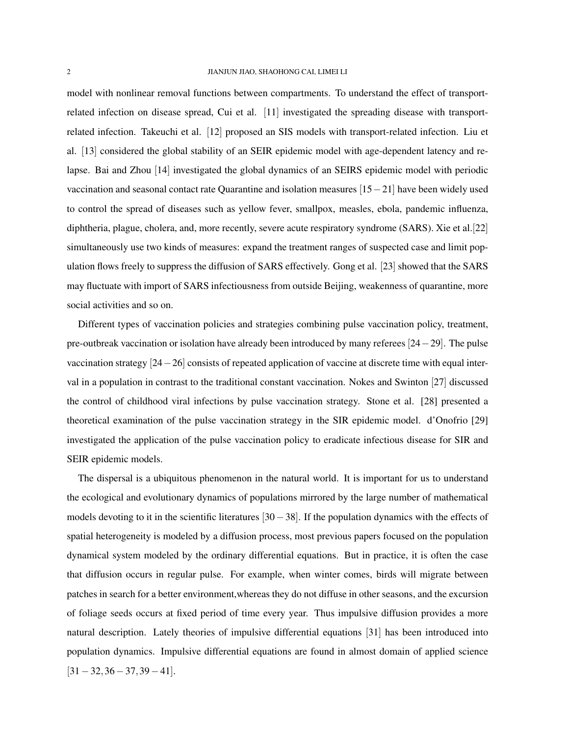model with nonlinear removal functions between compartments. To understand the effect of transportrelated infection on disease spread, Cui et al. [11] investigated the spreading disease with transportrelated infection. Takeuchi et al. [12] proposed an SIS models with transport-related infection. Liu et al. [13] considered the global stability of an SEIR epidemic model with age-dependent latency and relapse. Bai and Zhou [14] investigated the global dynamics of an SEIRS epidemic model with periodic vaccination and seasonal contact rate Quarantine and isolation measures [15−21] have been widely used to control the spread of diseases such as yellow fever, smallpox, measles, ebola, pandemic influenza, diphtheria, plague, cholera, and, more recently, severe acute respiratory syndrome (SARS). Xie et al.[22] simultaneously use two kinds of measures: expand the treatment ranges of suspected case and limit population flows freely to suppress the diffusion of SARS effectively. Gong et al. [23] showed that the SARS may fluctuate with import of SARS infectiousness from outside Beijing, weakenness of quarantine, more social activities and so on.

Different types of vaccination policies and strategies combining pulse vaccination policy, treatment, pre-outbreak vaccination or isolation have already been introduced by many referees [24−29]. The pulse vaccination strategy [24−26] consists of repeated application of vaccine at discrete time with equal interval in a population in contrast to the traditional constant vaccination. Nokes and Swinton [27] discussed the control of childhood viral infections by pulse vaccination strategy. Stone et al. [28] presented a theoretical examination of the pulse vaccination strategy in the SIR epidemic model. d'Onofrio [29] investigated the application of the pulse vaccination policy to eradicate infectious disease for SIR and SEIR epidemic models.

The dispersal is a ubiquitous phenomenon in the natural world. It is important for us to understand the ecological and evolutionary dynamics of populations mirrored by the large number of mathematical models devoting to it in the scientific literatures  $[30-38]$ . If the population dynamics with the effects of spatial heterogeneity is modeled by a diffusion process, most previous papers focused on the population dynamical system modeled by the ordinary differential equations. But in practice, it is often the case that diffusion occurs in regular pulse. For example, when winter comes, birds will migrate between patches in search for a better environment,whereas they do not diffuse in other seasons, and the excursion of foliage seeds occurs at fixed period of time every year. Thus impulsive diffusion provides a more natural description. Lately theories of impulsive differential equations [31] has been introduced into population dynamics. Impulsive differential equations are found in almost domain of applied science  $[31-32,36-37,39-41]$ .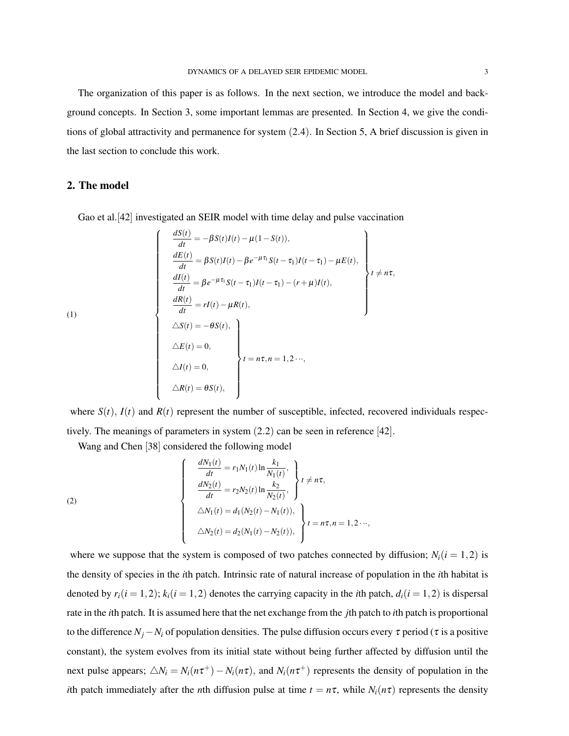The organization of this paper is as follows. In the next section, we introduce the model and background concepts. In Section 3, some important lemmas are presented. In Section 4, we give the conditions of global attractivity and permanence for system (2.4). In Section 5, A brief discussion is given in the last section to conclude this work.

# 2. The model

Gao et al.[42] investigated an SEIR model with time delay and pulse vaccination

$$
\frac{dS(t)}{dt} = -\beta S(t)I(t) - \mu(1 - S(t)),
$$
\n
$$
\frac{dE(t)}{dt} = \beta S(t)I(t) - \beta e^{-\mu \tau_1} S(t - \tau_1)I(t - \tau_1) - \mu E(t),
$$
\n
$$
\frac{dI(t)}{dt} = \beta e^{-\mu \tau_1} S(t - \tau_1)I(t - \tau_1) - (r + \mu)I(t),
$$
\n
$$
\frac{dR(t)}{dt} = rI(t) - \mu R(t),
$$
\n
$$
\Delta S(t) = -\theta S(t),
$$
\n
$$
\Delta E(t) = 0,
$$
\n
$$
\Delta I(t) = 0,
$$
\n
$$
\Delta R(t) = \theta S(t),
$$
\n
$$
\Delta R(t) = \theta S(t),
$$

where  $S(t)$ ,  $I(t)$  and  $R(t)$  represent the number of susceptible, infected, recovered individuals respectively. The meanings of parameters in system (2.2) can be seen in reference [42].

Wang and Chen [38] considered the following model

(2)  

$$
\begin{cases}\n\frac{dN_1(t)}{dt} = r_1 N_1(t) \ln \frac{k_1}{N_1(t)},\\ \n\frac{dN_2(t)}{dt} = r_2 N_2(t) \ln \frac{k_2}{N_2(t)},\\ \n\Delta N_1(t) = d_1 (N_2(t) - N_1(t)),\\ \n\Delta N_2(t) = d_2 (N_1(t) - N_2(t)),\n\end{cases} t = n\tau, n = 1, 2 \cdots,
$$

where we suppose that the system is composed of two patches connected by diffusion;  $N_i(i = 1, 2)$  is the density of species in the *i*th patch. Intrinsic rate of natural increase of population in the *i*th habitat is denoted by  $r_i(i = 1, 2)$ ;  $k_i(i = 1, 2)$  denotes the carrying capacity in the *i*th patch,  $d_i(i = 1, 2)$  is dispersal rate in the *i*th patch. It is assumed here that the net exchange from the *j*th patch to *i*th patch is proportional to the difference  $N_j - N_i$  of population densities. The pulse diffusion occurs every  $\tau$  period ( $\tau$  is a positive constant), the system evolves from its initial state without being further affected by diffusion until the next pulse appears;  $\Delta N_i = N_i(n\tau^+) - N_i(n\tau)$ , and  $N_i(n\tau^+)$  represents the density of population in the *i*th patch immediately after the *n*th diffusion pulse at time  $t = n\tau$ , while  $N_i(n\tau)$  represents the density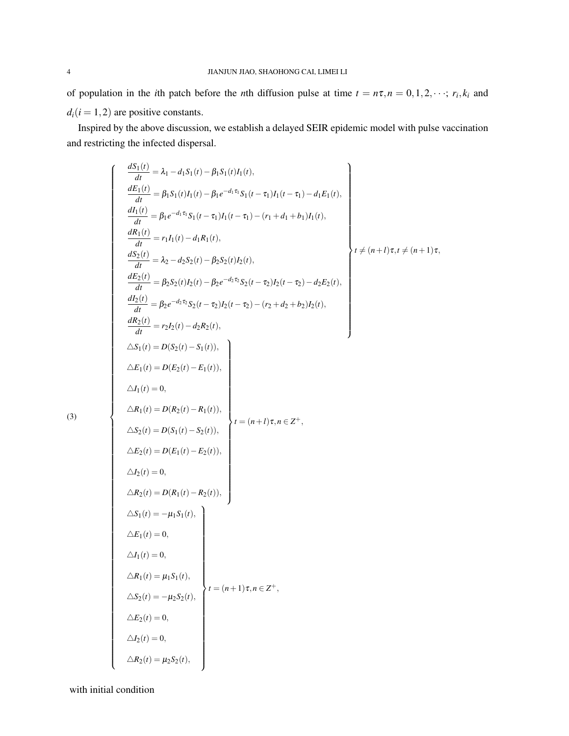of population in the *i*th patch before the *n*th diffusion pulse at time  $t = n\tau, n = 0, 1, 2, \dots; r_i, k_i$  and  $d_i$ ( $i = 1, 2$ ) are positive constants.

Inspired by the above discussion, we establish a delayed SEIR epidemic model with pulse vaccination and restricting the infected dispersal.

$$
\left\{\n\begin{array}{l}\n\frac{dS_1(t)}{dt} = \lambda_1 - d_1 S_1(t) - \beta_1 S_1(t) I_1(t),\n\frac{dE_1(t)}{dt} = \beta_1 S_1(t) I_1(t) - \beta_1 e^{-d_1 \tau_1} S_1(t - \tau_1) I_1(t - \tau_1) - d_1 E_1(t),\n\frac{dI_1(t)}{dt} = \beta_1 e^{-d_1 \tau_1} S_1(t - \tau_1) I_1(t - \tau_1) - (r_1 + d_1 + b_1) I_1(t),\n\frac{dS_2(t)}{dt} = \lambda_2 - d_2 S_2(t) - \beta_2 S_2(t) I_2(t),\n\frac{dE_2(t)}{dt} = \beta_2 e^{-d_2 \tau_2} S_2(t - \tau_2) I_2(t - \tau_2) - d_2 E_2(t),\n\frac{dI_2(t)}{dt} = \beta_2 e^{-d_2 \tau_2} S_2(t - \tau_2) I_2(t - \tau_2) - (r_2 + d_2 + b_2) I_2(t),\n\frac{dR_2(t)}{dt} = r_2 I_2(t) - d_2 R_2(t),\n\Delta S_1(t) = D(S_2(t) - S_1(t)),\n\Delta E_1(t) = D(E_2(t) - R_1(t)),\n\Delta I_1(t) = 0,\n\Delta R_1(t) = D(R_2(t) - R_1(t)),\n\Delta E_2(t) = D(S_1(t) - S_2(t)),\n\Delta E_2(t) = D(S_1(t) - S_2(t)),\n\Delta E_2(t) = D(R_1(t) - R_2(t)),\n\Delta S_1(t) = -\mu_1 S_1(t),\n\Delta S_1(t) = -\mu_1 S_1(t),\n\Delta S_1(t) = \mu_1 S_1(t),\n\Delta S_2(t) = 0,\n\Delta R_2(t) = 0,\n\Delta R_2(t) = 0,\n\Delta R_2(t) = 0,\n\Delta R_2(t) = 0,\n\Delta R_2(t) = 0,\n\Delta R_2(t) = 0,
$$

(3)

with initial condition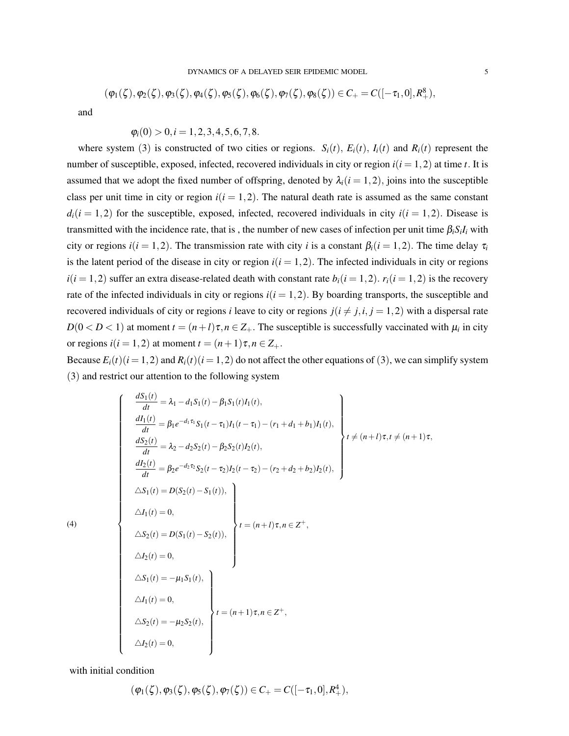$$
(\varphi_1(\zeta), \varphi_2(\zeta), \varphi_3(\zeta), \varphi_4(\zeta), \varphi_5(\zeta), \varphi_6(\zeta), \varphi_7(\zeta), \varphi_8(\zeta)) \in C_+ = C([-\tau_1, 0], R_+^8),
$$

and

$$
\varphi_i(0) > 0, i = 1, 2, 3, 4, 5, 6, 7, 8.
$$

where system (3) is constructed of two cities or regions.  $S_i(t)$ ,  $E_i(t)$ ,  $I_i(t)$  and  $R_i(t)$  represent the number of susceptible, exposed, infected, recovered individuals in city or region  $i(i = 1, 2)$  at time *t*. It is assumed that we adopt the fixed number of offspring, denoted by  $\lambda_i(i = 1, 2)$ , joins into the susceptible class per unit time in city or region  $i(i = 1, 2)$ . The natural death rate is assumed as the same constant  $d_i(i = 1,2)$  for the susceptible, exposed, infected, recovered individuals in city  $i(i = 1,2)$ . Disease is transmitted with the incidence rate, that is, the number of new cases of infection per unit time  $\beta_i S_i I_i$  with city or regions  $i(i = 1, 2)$ . The transmission rate with city *i* is a constant  $\beta_i(i = 1, 2)$ . The time delay  $\tau_i$ is the latent period of the disease in city or region  $i(i = 1, 2)$ . The infected individuals in city or regions  $i(i = 1, 2)$  suffer an extra disease-related death with constant rate  $b_i(i = 1, 2)$ .  $r_i(i = 1, 2)$  is the recovery rate of the infected individuals in city or regions  $i(i = 1, 2)$ . By boarding transports, the susceptible and recovered individuals of city or regions *i* leave to city or regions  $j(i \neq j, i, j = 1, 2)$  with a dispersal rate  $D(0 < D < 1)$  at moment  $t = (n+l)\tau, n \in \mathbb{Z}_+$ . The susceptible is successfully vaccinated with  $\mu_i$  in city or regions  $i(i = 1, 2)$  at moment  $t = (n+1)\tau, n \in \mathbb{Z}_+$ .

Because  $E_i(t)$  ( $i = 1, 2$ ) and  $R_i(t)$  ( $i = 1, 2$ ) do not affect the other equations of (3), we can simplify system (3) and restrict our attention to the following system

$$
\begin{cases}\n\frac{dS_1(t)}{dt} = \lambda_1 - d_1 S_1(t) - \beta_1 S_1(t) I_1(t),\n\frac{dI_1(t)}{dt} = \beta_1 e^{-d_1 \tau_1} S_1(t - \tau_1) I_1(t - \tau_1) - (r_1 + d_1 + b_1) I_1(t),\n\frac{dS_2(t)}{dt} = \lambda_2 - d_2 S_2(t) - \beta_2 S_2(t) I_2(t),\n\frac{dI_2(t)}{dt} = \beta_2 e^{-d_2 \tau_2} S_2(t - \tau_2) I_2(t - \tau_2) - (r_2 + d_2 + b_2) I_2(t),\n\Delta S_1(t) = D(S_2(t) - S_1(t)),\n\Delta I_1(t) = 0,\n\Delta S_2(t) = D(S_1(t) - S_2(t)),\n\Delta I_2(t) = 0,\n\Delta S_1(t) = -\mu_1 S_1(t),\n\Delta I_1(t) = 0,\n\Delta S_2(t) = -\mu_2 S_2(t),\n\Delta I_2(t) = 0,\n\Delta S_2(t) = -\mu_2 S_2(t),\n\Delta I_2(t) = 0,\n\end{cases} t = (n+1)\tau, n \in \mathbb{Z}^+,
$$

with initial condition

(4)

$$
(\varphi_1(\zeta),\varphi_3(\zeta),\varphi_5(\zeta),\varphi_7(\zeta))\in C_+=C([-\tau_1,0],R_+^4),
$$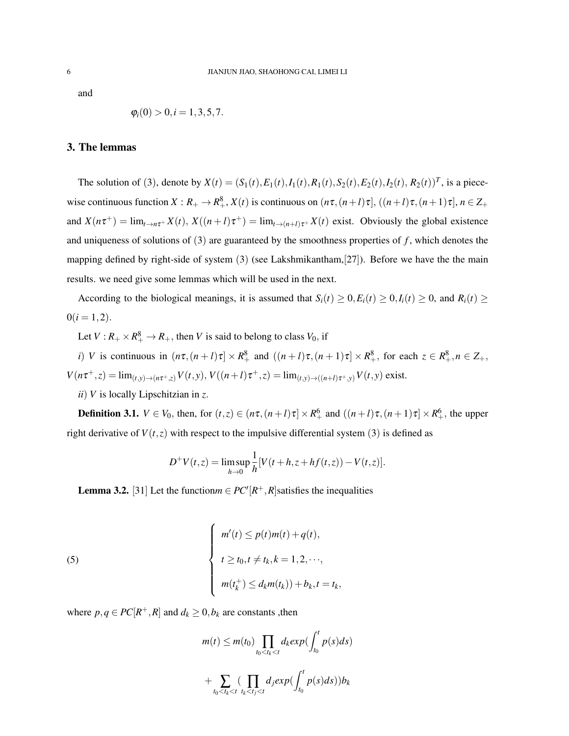and

$$
\varphi_i(0) > 0, i = 1, 3, 5, 7.
$$

## 3. The lemmas

The solution of (3), denote by  $X(t) = (S_1(t), E_1(t), I_1(t), R_1(t), S_2(t), E_2(t), I_2(t), R_2(t))^T$ , is a piecewise continuous function  $X: R_+ \to R_+^8$ ,  $X(t)$  is continuous on  $(n\tau, (n+l)\tau]$ ,  $((n+l)\tau, (n+1)\tau]$ ,  $n \in \mathbb{Z}_+$ and  $X(n\tau^+) = \lim_{t \to n\tau^+} X(t)$ ,  $X((n + l)\tau^+) = \lim_{t \to (n + l)\tau^+} X(t)$  exist. Obviously the global existence and uniqueness of solutions of (3) are guaranteed by the smoothness properties of *f* , which denotes the mapping defined by right-side of system  $(3)$  (see Lakshmikantham, $[27]$ ). Before we have the the main results. we need give some lemmas which will be used in the next.

According to the biological meanings, it is assumed that  $S_i(t) \ge 0, E_i(t) \ge 0, I_i(t) \ge 0$ , and  $R_i(t) \ge 0$  $0(i=1,2)$ .

Let  $V: R_+ \times R_+^8 \to R_+$ , then *V* is said to belong to class  $V_0$ , if

*i*) *V* is continuous in  $(n\tau, (n+l)\tau] \times R^8_+$  and  $((n+l)\tau, (n+1)\tau] \times R^8_+$ , for each  $z \in R^8_+, n \in \mathbb{Z}_+$ ,  $V(n\tau^+,z) = \lim_{(t,y)\to(n\tau^+,z)} V(t,y), V((n+l)\tau^+,z) = \lim_{(t,y)\to((n+l)\tau^+,y)} V(t,y)$  exist.

*ii*) *V* is locally Lipschitzian in *z*.

**Definition 3.1.**  $V \in V_0$ , then, for  $(t, z) \in (n\tau, (n+l)\tau] \times R_+^6$  and  $((n+l)\tau, (n+1)\tau] \times R_+^6$ , the upper right derivative of  $V(t, z)$  with respect to the impulsive differential system (3) is defined as

$$
D^{+}V(t,z) = \limsup_{h \to 0} \frac{1}{h} [V(t+h, z+h f(t,z)) - V(t,z)].
$$

**Lemma 3.2.** [31] Let the function  $m \in PC^{\prime}[R^{+}, R]$  satisfies the inequalities

(5)  

$$
\begin{cases}\nm'(t) \le p(t)m(t) + q(t), \\
t \ge t_0, t \ne t_k, k = 1, 2, \cdots, \\
m(t_k^+) \le d_k m(t_k) + b_k, t = t_k,\n\end{cases}
$$

where  $p, q \in PC[R^+, R]$  and  $d_k \geq 0, b_k$  are constants, then

$$
m(t) \le m(t_0) \prod_{t_0 < t_k < t} d_k exp(\int_{t_0}^t p(s) ds)
$$
  
+ 
$$
\sum_{t_0 < t_k < t} (\prod_{t_k < t_j < t} d_j exp(\int_{t_0}^t p(s) ds)) b_k
$$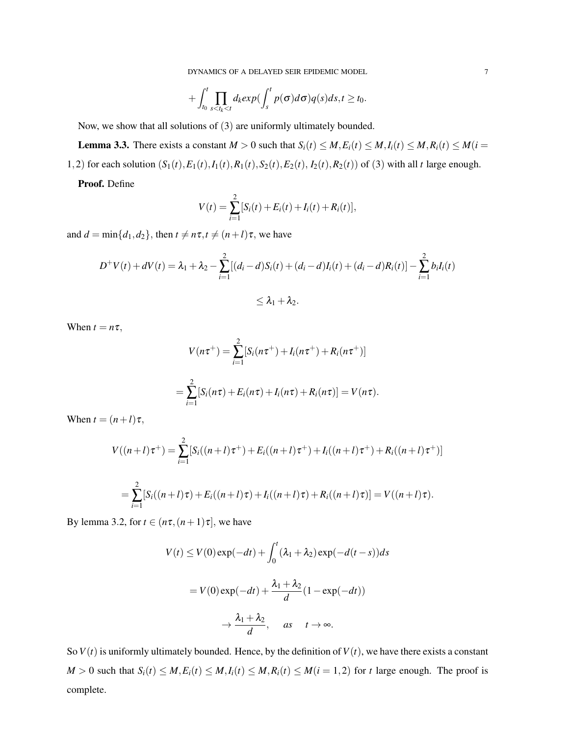DYNAMICS OF A DELAYED SEIR EPIDEMIC MODEL 7

$$
+\int_{t_0}^t \prod_{s
$$

Now, we show that all solutions of (3) are uniformly ultimately bounded.

**Lemma 3.3.** There exists a constant  $M > 0$  such that  $S_i(t) \leq M, E_i(t) \leq M, I_i(t) \leq M, R_i(t) \leq M(t = 0)$ 1,2) for each solution  $(S_1(t), E_1(t), I_1(t), R_1(t), S_2(t), E_2(t), I_2(t), R_2(t))$  of (3) with all *t* large enough.

Proof. Define

$$
V(t) = \sum_{i=1}^{2} [S_i(t) + E_i(t) + I_i(t) + R_i(t)],
$$

and  $d = \min\{d_1, d_2\}$ , then  $t \neq n\tau$ ,  $t \neq (n+l)\tau$ , we have

$$
D^{+}V(t) + dV(t) = \lambda_{1} + \lambda_{2} - \sum_{i=1}^{2} [(d_{i} - d)S_{i}(t) + (d_{i} - d)I_{i}(t) + (d_{i} - d)R_{i}(t)] - \sum_{i=1}^{2} b_{i}I_{i}(t)
$$
  

$$
\leq \lambda_{1} + \lambda_{2}.
$$

When  $t = n\tau$ ,

$$
V(n\tau^{+}) = \sum_{i=1}^{2} [S_{i}(n\tau^{+}) + I_{i}(n\tau^{+}) + R_{i}(n\tau^{+})]
$$
  
= 
$$
\sum_{i=1}^{2} [S_{i}(n\tau) + E_{i}(n\tau) + I_{i}(n\tau) + R_{i}(n\tau)] = V(n\tau).
$$

When  $t = (n+l)\tau$ ,

$$
V((n+l)\tau^{+}) = \sum_{i=1}^{2} [S_i((n+l)\tau^{+}) + E_i((n+l)\tau^{+}) + I_i((n+l)\tau^{+}) + R_i((n+l)\tau^{+})]
$$
  
= 
$$
\sum_{i=1}^{2} [S_i((n+l)\tau) + E_i((n+l)\tau) + I_i((n+l)\tau) + R_i((n+l)\tau)] = V((n+l)\tau).
$$

By lemma 3.2, for  $t \in (n\tau, (n+1)\tau]$ , we have

$$
V(t) \le V(0) \exp(-dt) + \int_0^t (\lambda_1 + \lambda_2) \exp(-d(t - s)) ds
$$
  
=  $V(0) \exp(-dt) + \frac{\lambda_1 + \lambda_2}{d} (1 - \exp(-dt))$   
 $\rightarrow \frac{\lambda_1 + \lambda_2}{d}, \quad as \quad t \rightarrow \infty.$ 

So  $V(t)$  is uniformly ultimately bounded. Hence, by the definition of  $V(t)$ , we have there exists a constant  $M > 0$  such that  $S_i(t) \leq M, E_i(t) \leq M, I_i(t) \leq M, R_i(t) \leq M(i = 1, 2)$  for t large enough. The proof is complete.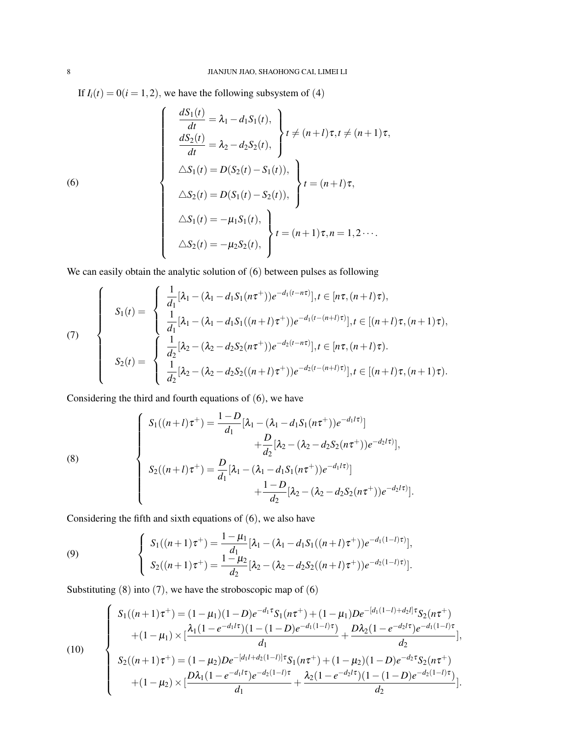If  $I_i(t) = 0(i = 1, 2)$ , we have the following subsystem of (4)

(6)  
\n
$$
\frac{dS_1(t)}{dt} = \lambda_1 - d_1 S_1(t),
$$
\n
$$
\frac{dS_2(t)}{dt} = \lambda_2 - d_2 S_2(t),
$$
\n
$$
\Delta S_1(t) = D(S_2(t) - S_1(t)),
$$
\n
$$
\Delta S_2(t) = D(S_1(t) - S_2(t)),
$$
\n
$$
t = (n + l)\tau,
$$
\n
$$
\Delta S_1(t) = -\mu_1 S_1(t),
$$
\n
$$
\Delta S_2(t) = -\mu_2 S_2(t),
$$
\n
$$
t = (n + 1)\tau, n = 1, 2 \cdots
$$

We can easily obtain the analytic solution of  $(6)$  between pulses as following

(7)  
\n
$$
S_1(t) = \begin{cases}\n\frac{1}{d_1}[\lambda_1 - (\lambda_1 - d_1 S_1(n\tau^+))e^{-d_1(t - n\tau)}], t \in [n\tau, (n+l)\tau), \\
\frac{1}{d_1}[\lambda_1 - (\lambda_1 - d_1 S_1((n+l)\tau^+))e^{-d_1(t - (n+l)\tau)}], t \in [(n+l)\tau, (n+1)\tau), \\
S_2(t) = \begin{cases}\n\frac{1}{d_2}[\lambda_2 - (\lambda_2 - d_2 S_2(n\tau^+))e^{-d_2(t - n\tau)}], t \in [n\tau, (n+l)\tau). \\
\frac{1}{d_2}[\lambda_2 - (\lambda_2 - d_2 S_2((n+l)\tau^+))e^{-d_2(t - (n+l)\tau)}], t \in [(n+l)\tau, (n+1)\tau).\n\end{cases}
$$

Considering the third and fourth equations of (6), we have

(8)  

$$
\begin{cases}\nS_1((n+l)\tau^+) = \frac{1-D}{d_1}[\lambda_1 - (\lambda_1 - d_1S_1(n\tau^+))e^{-d_1l\tau})] \\
+ \frac{D}{d_2}[\lambda_2 - (\lambda_2 - d_2S_2(n\tau^+))e^{-d_2l\tau})], \\
S_2((n+l)\tau^+) = \frac{D}{d_1}[\lambda_1 - (\lambda_1 - d_1S_1(n\tau^+))e^{-d_1l\tau})] \\
+ \frac{1-D}{d_2}[\lambda_2 - (\lambda_2 - d_2S_2(n\tau^+))e^{-d_2l\tau})].\n\end{cases}
$$

Considering the fifth and sixth equations of (6), we also have

(9) 
$$
\begin{cases} S_1((n+1)\tau^+) = \frac{1-\mu_1}{d_1} [\lambda_1 - (\lambda_1 - d_1 S_1((n+l)\tau^+))e^{-d_1(1-l)\tau})], \\ S_2((n+1)\tau^+) = \frac{1-\mu_2}{d_2} [\lambda_2 - (\lambda_2 - d_2 S_2((n+l)\tau^+))e^{-d_2(1-l)\tau})]. \end{cases}
$$

Substituting  $(8)$  into  $(7)$ , we have the stroboscopic map of  $(6)$ 

(10)  

$$
\begin{cases}\nS_1((n+1)\tau^+) = (1-\mu_1)(1-D)e^{-d_1\tau}S_1(n\tau^+) + (1-\mu_1)De^{-[d_1(1-l)+d_2l]\tau}S_2(n\tau^+) \\
+(1-\mu_1) \times [\frac{\lambda_1(1-e^{-d_1l\tau})(1-(1-D)e^{-d_1(1-l)\tau})}{d_1} + \frac{D\lambda_2(1-e^{-d_2l\tau})e^{-d_1(1-l)\tau}}{d_2}], \\
S_2((n+1)\tau^+) = (1-\mu_2)De^{-[d_1l+d_2(1-l)]\tau}S_1(n\tau^+) + (1-\mu_2)(1-D)e^{-d_2\tau}S_2(n\tau^+) \\
+(1-\mu_2) \times [\frac{D\lambda_1(1-e^{-d_1l\tau})e^{-d_2(1-l)\tau}}{d_1} + \frac{\lambda_2(1-e^{-d_2l\tau})(1-(1-D)e^{-d_2(1-l)\tau})}{d_2}].\n\end{cases}
$$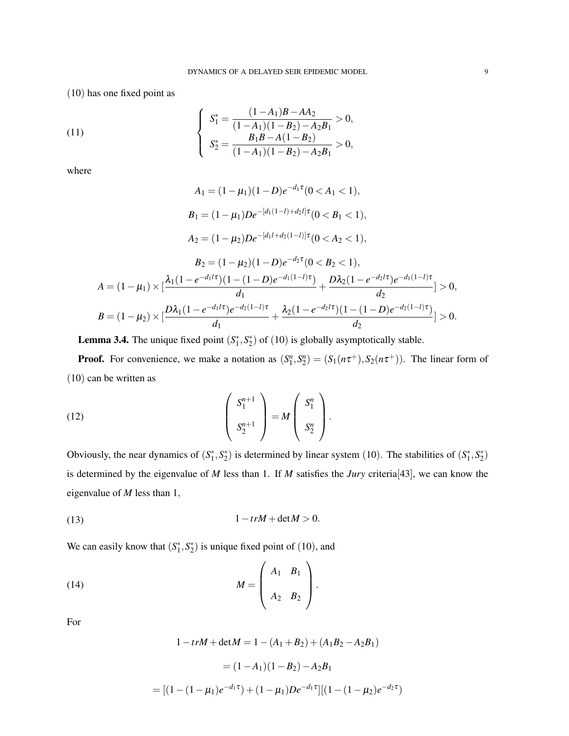(10) has one fixed point as

(11) 
$$
\begin{cases} S_1^* = \frac{(1-A_1)B - AA_2}{(1-A_1)(1-B_2) - A_2B_1} > 0, \\ S_2^* = \frac{B_1B - A(1-B_2)}{(1-A_1)(1-B_2) - A_2B_1} > 0, \end{cases}
$$

where

$$
A_1 = (1 - \mu_1)(1 - D)e^{-d_1\tau}(0 < A_1 < 1),
$$
  
\n
$$
B_1 = (1 - \mu_1)De^{-[d_1(1 - l) + d_2l]\tau}(0 < B_1 < 1),
$$
  
\n
$$
A_2 = (1 - \mu_2)De^{-[d_1l + d_2(1 - l)]\tau}(0 < A_2 < 1),
$$
  
\n
$$
B_2 = (1 - \mu_2)(1 - D)e^{-d_2\tau}(0 < B_2 < 1),
$$
  
\n
$$
A = (1 - \mu_1) \times [\frac{\lambda_1(1 - e^{-d_1l\tau})(1 - (1 - D)e^{-d_1(1 - l)\tau})}{d_1} + \frac{D\lambda_2(1 - e^{-d_2l\tau})e^{-d_1(1 - l)\tau}}{d_2}] > 0,
$$
  
\n
$$
B = (1 - \mu_2) \times [\frac{D\lambda_1(1 - e^{-d_1l\tau})e^{-d_2(1 - l)\tau}}{d_1} + \frac{\lambda_2(1 - e^{-d_2l\tau})(1 - (1 - D)e^{-d_2(1 - l)\tau})}{d_2}] > 0.
$$

**Lemma 3.4.** The unique fixed point  $(S_1^*, S_2^*)$  of  $(10)$  is globally asymptotically stable.

**Proof.** For convenience, we make a notation as  $(S_1^n, S_2^n) = (S_1(n\tau^+), S_2(n\tau^+))$ . The linear form of (10) can be written as

(12) 
$$
\begin{pmatrix} S_1^{n+1} \\ S_2^{n+1} \end{pmatrix} = M \begin{pmatrix} S_1^n \\ S_2^n \end{pmatrix}.
$$

Obviously, the near dynamics of  $(S_1^*, S_2^*)$  is determined by linear system (10). The stabilities of  $(S_1^*, S_2^*)$ is determined by the eigenvalue of *M* less than 1. If *M* satisfies the *Jury* criteria[43], we can know the eigenvalue of *M* less than 1,

$$
(13) \t\t\t 1-trM+\det M>0.
$$

We can easily know that  $(S_1^*, S_2^*)$  is unique fixed point of (10), and

(14) 
$$
M = \left(\begin{array}{cc} A_1 & B_1 \\ A_2 & B_2 \end{array}\right).
$$

For

$$
1 - trM + \det M = 1 - (A_1 + B_2) + (A_1 B_2 - A_2 B_1)
$$
  
=  $(1 - A_1)(1 - B_2) - A_2 B_1$   
=  $[(1 - (1 - \mu_1)e^{-d_1\tau}) + (1 - \mu_1)De^{-d_1\tau}][(1 - (1 - \mu_2)e^{-d_2\tau})$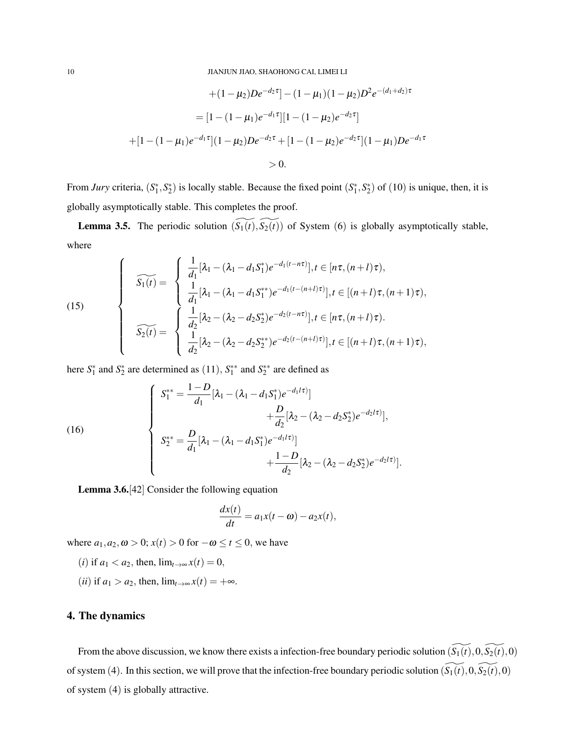$$
+(1 - \mu_2)De^{-d_2\tau} - (1 - \mu_1)(1 - \mu_2)D^2e^{-(d_1 + d_2)\tau}
$$
  
= 
$$
[1 - (1 - \mu_1)e^{-d_1\tau}][1 - (1 - \mu_2)e^{-d_2\tau}]
$$
  
+ 
$$
[1 - (1 - \mu_1)e^{-d_1\tau}](1 - \mu_2)De^{-d_2\tau} + [1 - (1 - \mu_2)e^{-d_2\tau}](1 - \mu_1)De^{-d_1\tau}
$$
  
> 0.

From *Jury* criteria,  $(S_1^*, S_2^*)$  is locally stable. Because the fixed point  $(S_1^*, S_2^*)$  of (10) is unique, then, it is globally asymptotically stable. This completes the proof.

**Lemma 3.5.** The periodic solution  $(\widetilde{S_1(t)}, \widetilde{S_2(t)})$  of System (6) is globally asymptotically stable, where

(15)  

$$
\widehat{S_1(t)} = \begin{cases} \frac{1}{d_1} [\lambda_1 - (\lambda_1 - d_1 S_1^*) e^{-d_1(t - n\tau)}], t \in [n\tau, (n+l)\tau), \\ \frac{1}{d_1} [\lambda_1 - (\lambda_1 - d_1 S_1^*) e^{-d_1(t - (n+l)\tau)}], t \in [(n+l)\tau, (n+1)\tau), \\ \frac{1}{\delta_2(t)} = \begin{cases} \frac{1}{d_2} [\lambda_2 - (\lambda_2 - d_2 S_2^*) e^{-d_2(t - n\tau)}], t \in [n\tau, (n+l)\tau). \\ \frac{1}{d_2} [\lambda_2 - (\lambda_2 - d_2 S_2^{**}) e^{-d_2(t - (n+l)\tau)}], t \in [(n+l)\tau, (n+1)\tau), \end{cases}
$$

here  $S_1^*$  and  $S_2^*$  are determined as  $(11)$ ,  $S_1^{**}$  and  $S_2^{**}$  are defined as

(16)  

$$
\begin{cases}\nS_1^{**} = \frac{1-D}{d_1} [\lambda_1 - (\lambda_1 - d_1 S_1^*) e^{-d_1 t \tau}] \\
+ \frac{D}{d_2} [\lambda_2 - (\lambda_2 - d_2 S_2^*) e^{-d_2 t \tau}] \\
S_2^{**} = \frac{D}{d_1} [\lambda_1 - (\lambda_1 - d_1 S_1^*) e^{-d_1 t \tau}] \\
+ \frac{1-D}{d_2} [\lambda_2 - (\lambda_2 - d_2 S_2^*) e^{-d_2 t \tau}].\n\end{cases}
$$

Lemma 3.6.[42] Consider the following equation

$$
\frac{dx(t)}{dt} = a_1x(t-\omega) - a_2x(t),
$$

where  $a_1, a_2, \omega > 0$ ;  $x(t) > 0$  for  $-\omega \le t \le 0$ , we have

- (*i*) if  $a_1 < a_2$ , then,  $\lim_{t \to \infty} x(t) = 0$ ,
- (*ii*) if  $a_1 > a_2$ , then,  $\lim_{t \to \infty} x(t) = +\infty$ .

## 4. The dynamics

From the above discussion, we know there exists a infection-free boundary periodic solution  $(\widetilde{S_1(t)},0,\widetilde{S_2(t)},0)$ of system (4). In this section, we will prove that the infection-free boundary periodic solution  $(\widetilde{S_1(t)},0,\widetilde{S_2(t)},0)$ of system (4) is globally attractive.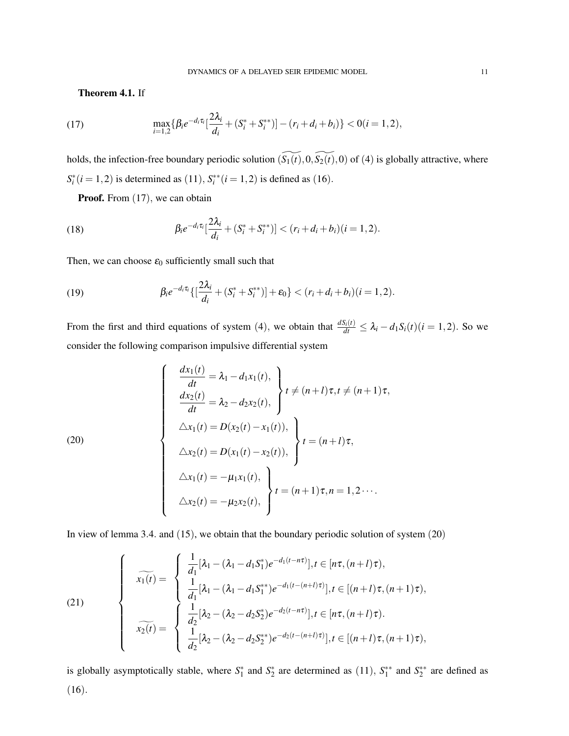Theorem 4.1. If

(17) 
$$
\max_{i=1,2} \{ \beta_i e^{-d_i \tau_i} \left[ \frac{2\lambda_i}{d_i} + (S_i^* + S_i^{**}) \right] - (r_i + d_i + b_i) \} < 0 (i = 1, 2),
$$

holds, the infection-free boundary periodic solution  $(\widetilde{S_1(t)},0,\widetilde{S_2(t)},0)$  of (4) is globally attractive, where  $S_i^*(i = 1, 2)$  is determined as (11),  $S_i^{**}(i = 1, 2)$  is defined as (16).

Proof. From  $(17)$ , we can obtain

(18) 
$$
\beta_i e^{-d_i \tau_i} \left[ \frac{2\lambda_i}{d_i} + (S_i^* + S_i^{**}) \right] < (r_i + d_i + b_i)(i = 1, 2).
$$

Then, we can choose  $\varepsilon_0$  sufficiently small such that

(19) 
$$
\beta_i e^{-d_i \tau_i} \{ \left[ \frac{2\lambda_i}{d_i} + (S_i^* + S_i^{**}) \right] + \varepsilon_0 \} < (r_i + d_i + b_i)(i = 1, 2).
$$

From the first and third equations of system (4), we obtain that  $\frac{dS_i(t)}{dt} \leq \lambda_i - d_1 S_i(t)$  (*i* = 1,2). So we consider the following comparison impulsive differential system

(20)  
\n
$$
\begin{cases}\n\frac{dx_1(t)}{dt} = \lambda_1 - d_1x_1(t), \\
\frac{dx_2(t)}{dt} = \lambda_2 - d_2x_2(t),\n\end{cases}\n t \neq (n+1)\tau, t \neq (n+1)\tau,
$$
\n
$$
\Delta x_1(t) = D(x_2(t) - x_1(t)),\n\Delta x_2(t) = D(x_1(t) - x_2(t)),\n\begin{cases}\nt = (n+1)\tau, \\
t = (n+1)\tau, \\
\Delta x_2(t) = -\mu_2x_2(t),\n\end{cases}
$$

In view of lemma 3.4. and (15), we obtain that the boundary periodic solution of system (20)

(21)  

$$
\widehat{x_1(t)} = \begin{cases} \frac{1}{d_1} [\lambda_1 - (\lambda_1 - d_1 S_1^*) e^{-d_1(t - n\tau)}], t \in [n\tau, (n+l)\tau), \\ \frac{1}{d_1} [\lambda_1 - (\lambda_1 - d_1 S_1^{**}) e^{-d_1(t - (n+l)\tau)}], t \in [(n+l)\tau, (n+1)\tau), \\ \frac{1}{d_2} [\lambda_2 - (\lambda_2 - d_2 S_2^*) e^{-d_2(t - n\tau)}], t \in [n\tau, (n+l)\tau). \end{cases}
$$

is globally asymptotically stable, where  $S_1^*$  and  $S_2^*$  are determined as (11),  $S_1^{**}$  and  $S_2^{**}$  are defined as (16).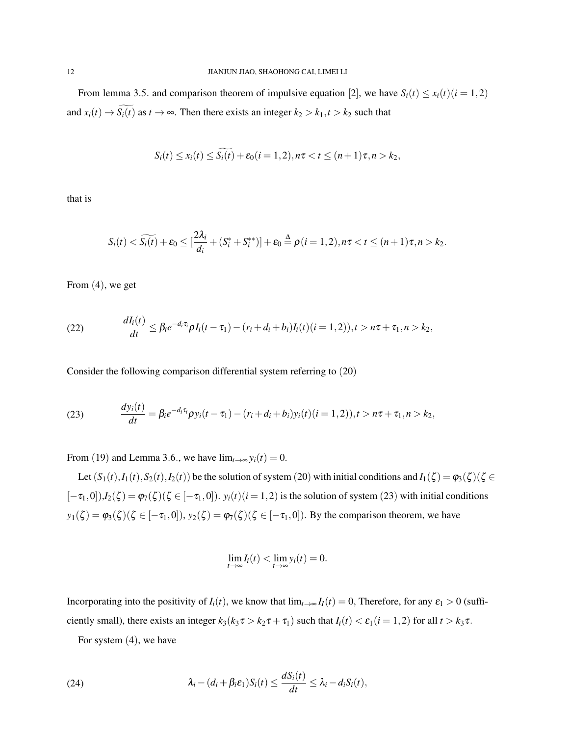From lemma 3.5. and comparison theorem of impulsive equation [2], we have  $S_i(t) \le x_i(t)$  ( $i = 1, 2$ ) and  $x_i(t) \to \widetilde{S_i(t)}$  as  $t \to \infty$ . Then there exists an integer  $k_2 > k_1, t > k_2$  such that

$$
S_i(t) \le x_i(t) \le \widetilde{S_i(t)} + \varepsilon_0(i = 1, 2), n\tau < t \le (n+1)\tau, n > k_2,
$$

that is

$$
S_i(t) < \widetilde{S_i(t)} + \varepsilon_0 \leq [\frac{2\lambda_i}{d_i} + (S_i^* + S_i^{**})] + \varepsilon_0 \stackrel{\Delta}{=} \rho(i=1,2), n\tau < t \leq (n+1)\tau, n > k_2.
$$

From (4), we get

(22) 
$$
\frac{dI_i(t)}{dt} \leq \beta_i e^{-d_i \tau_i} \rho I_i(t-\tau_1) - (r_i + d_i + b_i) I_i(t) (i = 1,2)), t > n\tau + \tau_1, n > k_2,
$$

Consider the following comparison differential system referring to (20)

(23) 
$$
\frac{dy_i(t)}{dt} = \beta_i e^{-d_i \tau_i} \rho y_i(t - \tau_1) - (r_i + d_i + b_i) y_i(t) (i = 1, 2)), t > n\tau + \tau_1, n > k_2,
$$

From (19) and Lemma 3.6., we have  $\lim_{t\to\infty} y_i(t) = 0$ .

Let  $(S_1(t), I_1(t), S_2(t), I_2(t))$  be the solution of system (20) with initial conditions and  $I_1(\zeta) = \varphi_3(\zeta)(\zeta \in$  $[-\tau_1,0]$ ), $I_2(\zeta) = \varphi_7(\zeta)$   $(\zeta \in [-\tau_1,0])$ .  $y_i(t)$   $(i=1,2)$  is the solution of system (23) with initial conditions  $y_1(\zeta) = \varphi_3(\zeta)$  ( $\zeta \in [-\tau_1, 0]$ ),  $y_2(\zeta) = \varphi_7(\zeta)$  ( $\zeta \in [-\tau_1, 0]$ ). By the comparison theorem, we have

$$
\lim_{t\to\infty}I_i(t)<\lim_{t\to\infty}y_i(t)=0.
$$

Incorporating into the positivity of *I<sub>i</sub>*(*t*), we know that  $\lim_{t\to\infty} I_I(t) = 0$ , Therefore, for any  $\varepsilon_1 > 0$  (sufficiently small), there exists an integer  $k_3(k_3\tau > k_2\tau + \tau_1)$  such that  $I_i(t) < \varepsilon_1(i = 1,2)$  for all  $t > k_3\tau$ .

For system (4), we have

(24) 
$$
\lambda_i - (d_i + \beta_i \varepsilon_1) S_i(t) \leq \frac{dS_i(t)}{dt} \leq \lambda_i - d_i S_i(t),
$$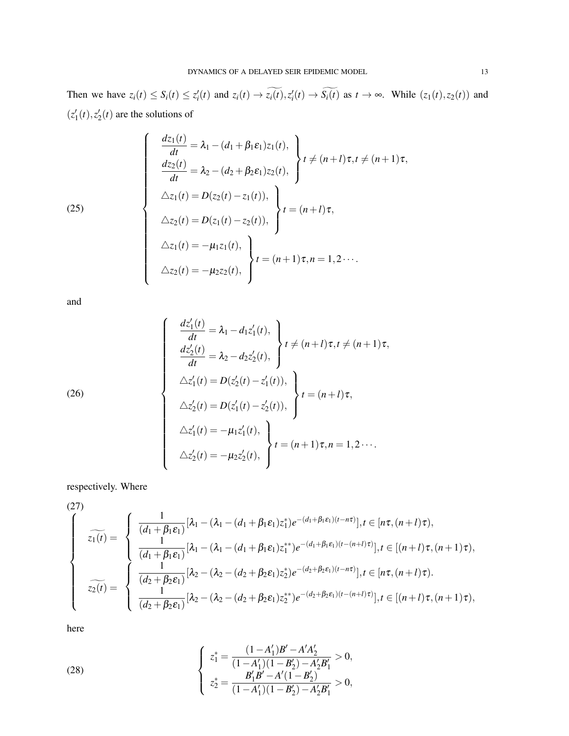Then we have  $z_i(t) \leq S_i(t) \leq z'_i(t)$  and  $z_i(t) \to z_i(t), z'_i(t) \to S_i(t)$  as  $t \to \infty$ . While  $(z_1(t), z_2(t))$  and  $(z_1'(t), z_2'(t))$  are the solutions of

(25)  

$$
\begin{cases}\n\frac{dz_1(t)}{dt} = \lambda_1 - (d_1 + \beta_1 \varepsilon_1) z_1(t), \\
\frac{dz_2(t)}{dt} = \lambda_2 - (d_2 + \beta_2 \varepsilon_1) z_2(t), \\
\Delta z_1(t) = D(z_2(t) - z_1(t)), \\
\Delta z_2(t) = D(z_1(t) - z_2(t)),\n\end{cases} t = (n + t)\tau, \\
\Delta z_1(t) = -\mu_1 z_1(t), \\
\Delta z_2(t) = -\mu_2 z_2(t),\n\begin{cases}\nt = (n + 1)\tau, n = 1, 2 \cdots \\
t = (n + 1)\tau, n = 1, 2 \cdots\n\end{cases}
$$

and

(26)  
\n
$$
\begin{cases}\n\frac{dz'_1(t)}{dt} = \lambda_1 - d_1 z'_1(t), \\
\frac{dz'_2(t)}{dt} = \lambda_2 - d_2 z'_2(t), \\
\Delta z'_1(t) = D(z'_2(t) - z'_1(t)), \\
\Delta z'_2(t) = D(z'_1(t) - z'_2(t)),\n\end{cases} t = (n+l)\tau,
$$
\n
$$
\Delta z'_1(t) = -\mu_1 z'_1(t), \\
\Delta z'_2(t) = -\mu_2 z'_2(t),\n\begin{cases}\nt = (n+1)\tau, n = 1, 2 \cdots \\
\tau = (n+1)\tau, n = 1, 2 \cdots\n\end{cases}
$$

respectively. Where

(27)  
\n
$$
\overline{z_1(t)} = \begin{cases}\n\frac{1}{(d_1 + \beta_1 \varepsilon_1)} [\lambda_1 - (\lambda_1 - (d_1 + \beta_1 \varepsilon_1) z_1^*) e^{-(d_1 + \beta_1 \varepsilon_1)(t - n\tau)}], t \in [n\tau, (n+l)\tau), \\
\frac{1}{(d_1 + \beta_1 \varepsilon_1)} [\lambda_1 - (\lambda_1 - (d_1 + \beta_1 \varepsilon_1) z_1^{**}) e^{-(d_1 + \beta_1 \varepsilon_1)(t - (n+l)\tau)}], t \in [(n+l)\tau, (n+l)\tau), \\
\frac{1}{(d_2 + \beta_2 \varepsilon_1)} [\lambda_2 - (\lambda_2 - (d_2 + \beta_2 \varepsilon_1) z_2^*) e^{-(d_2 + \beta_2 \varepsilon_1)(t - n\tau)}], t \in [n\tau, (n+l)\tau). \\
\frac{1}{(d_2 + \beta_2 \varepsilon_1)} [\lambda_2 - (\lambda_2 - (d_2 + \beta_2 \varepsilon_1) z_2^{**}) e^{-(d_2 + \beta_2 \varepsilon_1)(t - (n+l)\tau)}], t \in [(n+l)\tau, (n+l)\tau),\n\end{cases}
$$

here

(28) 
$$
\begin{cases} z_1^* = \frac{(1-A_1')B' - A'A_2'}{(1-A_1')(1-B_2') - A_2'B_1'} > 0, \\ z_2^* = \frac{B_1'B' - A'(1-B_2')}{(1-A_1')(1-B_2') - A_2'B_1'} > 0, \end{cases}
$$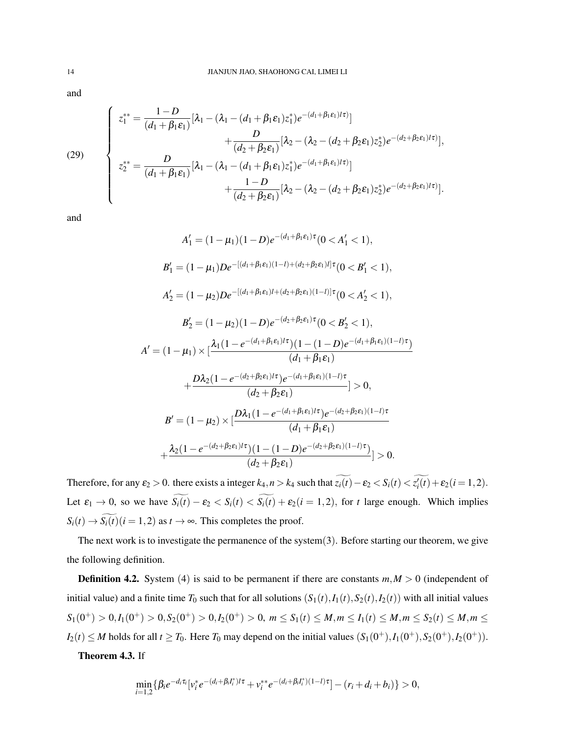and

(29)  

$$
\begin{cases}\nz_1^{**} = \frac{1-D}{(d_1 + \beta_1 \varepsilon_1)} [\lambda_1 - (\lambda_1 - (d_1 + \beta_1 \varepsilon_1) z_1^*) e^{-(d_1 + \beta_1 \varepsilon_1) t \tau)}] \\
+ \frac{D}{(d_2 + \beta_2 \varepsilon_1)} [\lambda_2 - (\lambda_2 - (d_2 + \beta_2 \varepsilon_1) z_2^*) e^{-(d_2 + \beta_2 \varepsilon_1) t \tau})], \\
z_2^{**} = \frac{D}{(d_1 + \beta_1 \varepsilon_1)} [\lambda_1 - (\lambda_1 - (d_1 + \beta_1 \varepsilon_1) z_1^*) e^{-(d_1 + \beta_1 \varepsilon_1) t \tau)}] \\
+ \frac{1-D}{(d_2 + \beta_2 \varepsilon_1)} [\lambda_2 - (\lambda_2 - (d_2 + \beta_2 \varepsilon_1) z_2^*) e^{-(d_2 + \beta_2 \varepsilon_1) t \tau)}].\n\end{cases}
$$

and

$$
A'_1 = (1 - \mu_1)(1 - D)e^{-(d_1 + \beta_1 \varepsilon_1)\tau}(0 < A'_1 < 1),
$$
  
\n
$$
B'_1 = (1 - \mu_1)De^{-[(d_1 + \beta_1 \varepsilon_1)(1 - l) + (d_2 + \beta_2 \varepsilon_1)l]\tau}(0 < B'_1 < 1),
$$
  
\n
$$
A'_2 = (1 - \mu_2)De^{-[(d_1 + \beta_1 \varepsilon_1)l + (d_2 + \beta_2 \varepsilon_1)(1 - l)]\tau}(0 < A'_2 < 1),
$$
  
\n
$$
B'_2 = (1 - \mu_2)(1 - D)e^{-(d_2 + \beta_2 \varepsilon_1)\tau}(0 < B'_2 < 1),
$$
  
\n
$$
A' = (1 - \mu_1) \times [\frac{\lambda_1(1 - e^{-(d_1 + \beta_1 \varepsilon_1)l\tau})(1 - (1 - D)e^{-(d_1 + \beta_1 \varepsilon_1)(1 - l)\tau})}{(d_1 + \beta_1 \varepsilon_1)} - \frac{D\lambda_2(1 - e^{-(d_2 + \beta_2 \varepsilon_1)l\tau})e^{-(d_1 + \beta_1 \varepsilon_1)(1 - l)\tau}}{(d_2 + \beta_2 \varepsilon_1)} > 0,
$$
  
\n
$$
B' = (1 - \mu_2) \times [\frac{D\lambda_1(1 - e^{-(d_1 + \beta_1 \varepsilon_1)l\tau})e^{-(d_2 + \beta_2 \varepsilon_1)(1 - l)\tau}}{(d_1 + \beta_1 \varepsilon_1)} - \frac{\lambda_2(1 - e^{-(d_2 + \beta_2 \varepsilon_1)l\tau})(1 - (1 - D)e^{-(d_2 + \beta_2 \varepsilon_1)(1 - l)\tau})}{(d_2 + \beta_2 \varepsilon_1)}] > 0.
$$

Therefore, for any  $\varepsilon_2 > 0$ . there exists a integer  $k_4$ ,  $n > k_4$  such that  $z_i(t) - \varepsilon_2 < S_i(t) < z'_i(t) + \varepsilon_2 (i = 1, 2)$ . Let  $\varepsilon_1 \to 0$ , so we have  $\widetilde{S_i(t)} - \varepsilon_2 < S_i(t) < \widetilde{S_i(t)} + \varepsilon_2(i=1,2)$ , for *t* large enough. Which implies  $S_i(t) \rightarrow \widetilde{S_i(t)}$  (*i* = 1, 2) as *t* → ∞. This completes the proof.

The next work is to investigate the permanence of the system(3). Before starting our theorem, we give the following definition.

**Definition 4.2.** System (4) is said to be permanent if there are constants  $m, M > 0$  (independent of initial value) and a finite time  $T_0$  such that for all solutions  $(S_1(t), I_1(t), S_2(t), I_2(t))$  with all initial values  $S_1(0^+) > 0, I_1(0^+) > 0, S_2(0^+) > 0, I_2(0^+) > 0, m \leq S_1(t) \leq M, m \leq I_1(t) \leq M, m \leq S_2(t) \leq M, m \leq I_2(t) \leq M, m \leq I_1(t) \leq M, m \leq I_2(t) \leq M, m \leq I_2(t) \leq M, m \leq I_2(t) \leq M, m \leq I_2(t) \leq M, m \leq I_2(t) \leq M, M \leq I_1(t) \leq M, M \leq I_2(t) \leq M, M \leq I_2(t$  $I_2(t) \leq M$  holds for all  $t \geq T_0$ . Here  $T_0$  may depend on the initial values  $(S_1(0^+), I_1(0^+), S_2(0^+), I_2(0^+))$ .

Theorem 4.3. If

$$
\min_{i=1,2} \{ \beta_i e^{-d_i \tau_i} [v_i^* e^{-(d_i + \beta_i I_i^*)/\tau} + v_i^{**} e^{-(d_i + \beta_i I_i^*) (1-l)\tau}] - (r_i + d_i + b_i) \} > 0,
$$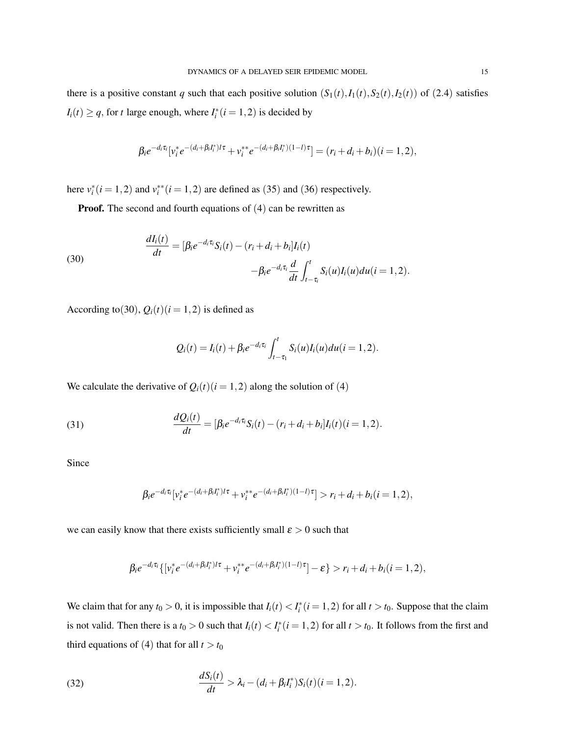there is a positive constant *q* such that each positive solution  $(S_1(t), I_1(t), S_2(t), I_2(t))$  of (2.4) satisfies  $I_i(t) \geq q$ , for *t* large enough, where  $I_i^*(i = 1, 2)$  is decided by

$$
\beta_i e^{-d_i \tau_i} [v_i^* e^{-(d_i + \beta_i I_i^*) t \tau} + v_i^{**} e^{-(d_i + \beta_i I_i^*) (1 - t) \tau}] = (r_i + d_i + b_i)(i = 1, 2),
$$

here  $v_i^*(i = 1, 2)$  and  $v_i^{**}(i = 1, 2)$  are defined as (35) and (36) respectively.

**Proof.** The second and fourth equations of (4) can be rewritten as

(30)  
\n
$$
\frac{dI_i(t)}{dt} = [\beta_i e^{-d_i \tau_i} S_i(t) - (r_i + d_i + b_i] I_i(t) -\beta_i e^{-d_i \tau_i} \frac{d}{dt} \int_{t-\tau_i}^t S_i(u) I_i(u) du (i = 1, 2).
$$

According to(30),  $Q_i(t)$ ( $i = 1, 2$ ) is defined as

$$
Q_i(t) = I_i(t) + \beta_i e^{-d_i \tau_i} \int_{t-\tau_1}^t S_i(u) I_i(u) du (i = 1, 2).
$$

We calculate the derivative of  $Q_i(t)$  (*i* = 1, 2) along the solution of (4)

(31) 
$$
\frac{dQ_i(t)}{dt} = [\beta_i e^{-d_i \tau_i} S_i(t) - (r_i + d_i + b_i] I_i(t) (i = 1, 2).
$$

Since

$$
\beta_i e^{-d_i \tau_i} [v_i^* e^{-(d_i + \beta_i I_i^*)t \tau} + v_i^{**} e^{-(d_i + \beta_i I_i^*) (1 - t) \tau}] > r_i + d_i + b_i (i = 1, 2),
$$

we can easily know that there exists sufficiently small  $\varepsilon > 0$  such that

$$
\beta_i e^{-d_i \tau_i} \{ [v_i^* e^{-(d_i + \beta_i I_i^*)t \tau} + v_i^{**} e^{-(d_i + \beta_i I_i^*) (1 - t) \tau}] - \varepsilon \} > r_i + d_i + b_i (i = 1, 2),
$$

We claim that for any  $t_0 > 0$ , it is impossible that  $I_i(t) < I_i^*(i = 1, 2)$  for all  $t > t_0$ . Suppose that the claim is not valid. Then there is a  $t_0 > 0$  such that  $I_i(t) < I_i^*(i = 1, 2)$  for all  $t > t_0$ . It follows from the first and third equations of (4) that for all  $t > t_0$ 

(32) 
$$
\frac{dS_i(t)}{dt} > \lambda_i - (d_i + \beta_i I_i^*) S_i(t) (i = 1, 2).
$$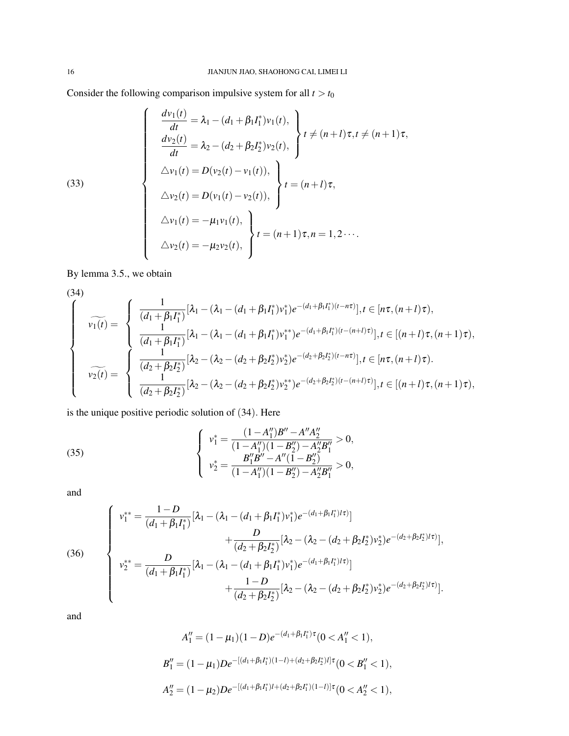Consider the following comparison impulsive system for all  $t > t_0$ 

(33)  

$$
\begin{cases}\n\frac{dv_1(t)}{dt} = \lambda_1 - (d_1 + \beta_1 I_1^*) v_1(t), \\
\frac{dv_2(t)}{dt} = \lambda_2 - (d_2 + \beta_2 I_2^*) v_2(t), \\
\Delta v_1(t) = D(v_2(t) - v_1(t)), \\
\Delta v_2(t) = D(v_1(t) - v_2(t)), \\
\Delta v_1(t) = -\mu_1 v_1(t), \\
\Delta v_2(t) = -\mu_2 v_2(t),\n\end{cases} t = (n+1)\tau, n = 1, 2 \cdots.
$$

By lemma 3.5., we obtain

$$
(34)
$$

$$
\widehat{\nu_{1}(t)} = \begin{cases}\n\frac{1}{(d_{1} + \beta_{1}I_{1}^{*})}[\lambda_{1} - (\lambda_{1} - (d_{1} + \beta_{1}I_{1}^{*})\nu_{1}^{*})e^{-(d_{1} + \beta_{1}I_{1}^{*})(t - n\tau)}], t \in [n\tau, (n+l)\tau), \\
\frac{1}{(d_{1} + \beta_{1}I_{1}^{*})}[\lambda_{1} - (\lambda_{1} - (d_{1} + \beta_{1}I_{1}^{*})\nu_{1}^{*})e^{-(d_{1} + \beta_{1}I_{1}^{*})(t - (n+l)\tau)}], t \in [(n+l)\tau, (n+l)\tau), \\
\frac{1}{(d_{2} + \beta_{2}I_{2}^{*})}[\lambda_{2} - (\lambda_{2} - (d_{2} + \beta_{2}I_{2}^{*})\nu_{2}^{*})e^{-(d_{2} + \beta_{2}I_{2}^{*})(t - n\tau)}], t \in [n\tau, (n+l)\tau).\n\end{cases}
$$

is the unique positive periodic solution of (34). Here

(35) 
$$
\begin{cases} v_1^* = \frac{(1 - A_1'')B'' - A''A_2''}{(1 - A_1'')(1 - B_2'') - A_2''B_1''} > 0, \\ v_2^* = \frac{B_1''B'' - A''(1 - B_2'')}{(1 - A_1'')(1 - B_2'') - A_2''B_1''} > 0, \end{cases}
$$

and

(36)  

$$
\begin{cases}\nv_1^{**} = \frac{1-D}{(d_1 + \beta_1 I_1^*)} [\lambda_1 - (\lambda_1 - (d_1 + \beta_1 I_1^*) v_1^*) e^{-(d_1 + \beta_1 I_1^*)/t} ) \\
+ \frac{D}{(d_2 + \beta_2 I_2^*)} [\lambda_2 - (\lambda_2 - (d_2 + \beta_2 I_2^*) v_2^*) e^{-(d_2 + \beta_2 I_2^*)/t} ], \\
v_2^{**} = \frac{D}{(d_1 + \beta_1 I_1^*)} [\lambda_1 - (\lambda_1 - (d_1 + \beta_1 I_1^*) v_1^*) e^{-(d_1 + \beta_1 I_1^*)/t} ) \\
+ \frac{1-D}{(d_2 + \beta_2 I_2^*)} [\lambda_2 - (\lambda_2 - (d_2 + \beta_2 I_2^*) v_2^*) e^{-(d_2 + \beta_2 I_2^*)/t} ].\n\end{cases}
$$

and

$$
A_1'' = (1 - \mu_1)(1 - D)e^{-(d_1 + \beta_1 I_1^*)\tau} (0 < A_1'' < 1),
$$
  
\n
$$
B_1'' = (1 - \mu_1)De^{-[(d_1 + \beta_1 I_1^*)(1 - I) + (d_2 + \beta_2 I_2^*)I]\tau} (0 < B_1'' < 1),
$$
  
\n
$$
A_2'' = (1 - \mu_2)De^{-[(d_1 + \beta_1 I_1^*)I + (d_2 + \beta_2 I_1^*)(1 - I)]\tau} (0 < A_2'' < 1),
$$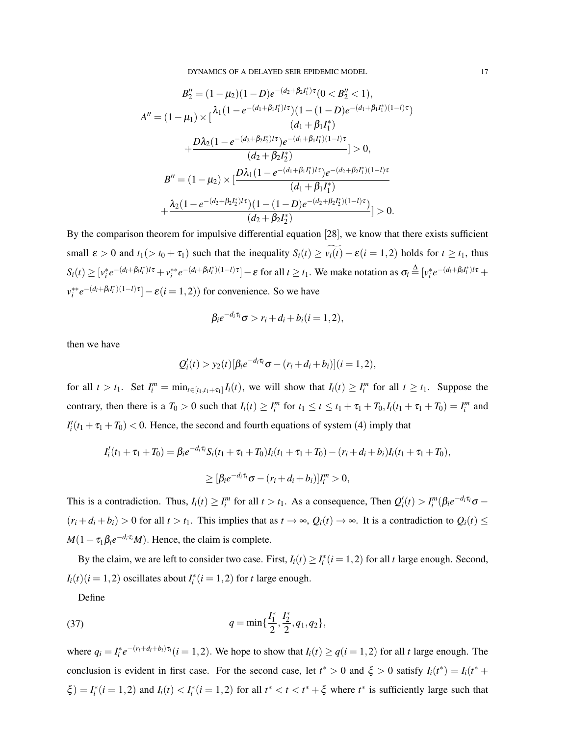$$
B_2'' = (1 - \mu_2)(1 - D)e^{-(d_2 + \beta_2 I_1^*)\tau}(0 < B_2'' < 1),
$$
\n
$$
A'' = (1 - \mu_1) \times \left[ \frac{\lambda_1 (1 - e^{-(d_1 + \beta_1 I_1^*)/t}) (1 - (1 - D)e^{-(d_1 + \beta_1 I_1^*) (1 - l)\tau})}{(d_1 + \beta_1 I_1^*)} + \frac{D\lambda_2 (1 - e^{-(d_2 + \beta_2 I_2^*)/t}) e^{-(d_1 + \beta_1 I_1^*) (1 - l)\tau}}{(d_2 + \beta_2 I_2^*)} \right] > 0,
$$
\n
$$
B'' = (1 - \mu_2) \times \left[ \frac{D\lambda_1 (1 - e^{-(d_1 + \beta_1 I_1^*)/t}) e^{-(d_2 + \beta_2 I_1^*) (1 - l)\tau}}{(d_1 + \beta_1 I_1^*)} + \frac{\lambda_2 (1 - e^{-(d_2 + \beta_2 I_2^*)/t}) (1 - (1 - D)e^{-(d_2 + \beta_2 I_2^*) (1 - l)\tau})}{(d_2 + \beta_2 I_2^*)} \right] > 0.
$$

By the comparison theorem for impulsive differential equation [28], we know that there exists sufficient small  $\varepsilon > 0$  and  $t_1$ ( $> t_0 + \tau_1$ ) such that the inequality  $S_i(t) \ge \widetilde{v_i(t)} - \varepsilon (i = 1, 2)$  holds for  $t \ge t_1$ , thus  $S_i(t) \ge [v_i^* e^{-(d_i + \beta_i I_i^*)t\tau} + v_i^{**} e^{-(d_i + \beta_i I_i^*) (1 - t)\tau}] - \varepsilon$  for all  $t \ge t_1$ . We make notation as  $\sigma_i \stackrel{\Delta}{=} [v_i^* e^{-(d_i + \beta_i I_i^*) t\tau} +$  $v_i^{**}e^{-(d_i+\beta_iI_i^*)(1-l)\tau} - \varepsilon(i=1,2)$ ) for convenience. So we have

$$
\beta_i e^{-d_i \tau_i} \sigma > r_i + d_i + b_i (i = 1, 2),
$$

then we have

$$
Q'_{i}(t) > y_{2}(t) [\beta_{i}e^{-d_{i}\tau_{i}}\sigma - (r_{i} + d_{i} + b_{i})](i = 1, 2),
$$

for all  $t > t_1$ . Set  $I_i^m = \min_{t \in [t_1, t_1 + \tau_1]} I_i(t)$ , we will show that  $I_i(t) \ge I_i^m$  for all  $t \ge t_1$ . Suppose the contrary, then there is a  $T_0 > 0$  such that  $I_i(t) \ge I_i^m$  for  $t_1 \le t \le t_1 + \tau_1 + T_0$ ,  $I_i(t_1 + \tau_1 + T_0) = I_i^m$  and  $I'_i(t_1 + \tau_1 + T_0) < 0$ . Hence, the second and fourth equations of system (4) imply that

$$
I'_{i}(t_{1} + \tau_{1} + T_{0}) = \beta_{i}e^{-d_{i}\tau_{i}}S_{i}(t_{1} + \tau_{1} + T_{0})I_{i}(t_{1} + \tau_{1} + T_{0}) - (r_{i} + d_{i} + b_{i})I_{i}(t_{1} + \tau_{1} + T_{0}),
$$
  
\n
$$
\geq [\beta_{i}e^{-d_{i}\tau_{i}}\sigma - (r_{i} + d_{i} + b_{i})]I_{i}^{m} > 0,
$$

This is a contradiction. Thus,  $I_i(t) \geq I_i^m$  for all  $t > t_1$ . As a consequence, Then  $Q_i'(t) > I_i^m(\beta_i e^{-d_i \tau_i} \sigma (r_i + d_i + b_i) > 0$  for all  $t > t_1$ . This implies that as  $t \to \infty$ ,  $Q_i(t) \to \infty$ . It is a contradiction to  $Q_i(t) \leq$  $M(1+\tau_1\beta_i e^{-d_i\tau_i}M)$ . Hence, the claim is complete.

By the claim, we are left to consider two case. First,  $I_i(t) \geq I_i^*(i=1,2)$  for all *t* large enough. Second,  $I_i(t)$  (*i* = 1, 2) oscillates about  $I_i^*(i = 1, 2)$  for *t* large enough.

Define

(37) 
$$
q = \min\{\frac{I_1^*, I_2^*, q_1, q_2\},\
$$

where  $q_i = I_i^* e^{-(r_i + d_i + b_i)\tau_i}$   $(i = 1, 2)$ . We hope to show that  $I_i(t) \ge q(i = 1, 2)$  for all t large enough. The conclusion is evident in first case. For the second case, let  $t^* > 0$  and  $\xi > 0$  satisfy  $I_i(t^*) = I_i(t^* +$  $\xi$ ) =  $I_i^*(i = 1,2)$  and  $I_i(t) < I_i^*(i = 1,2)$  for all  $t^* < t < t^* + \xi$  where  $t^*$  is sufficiently large such that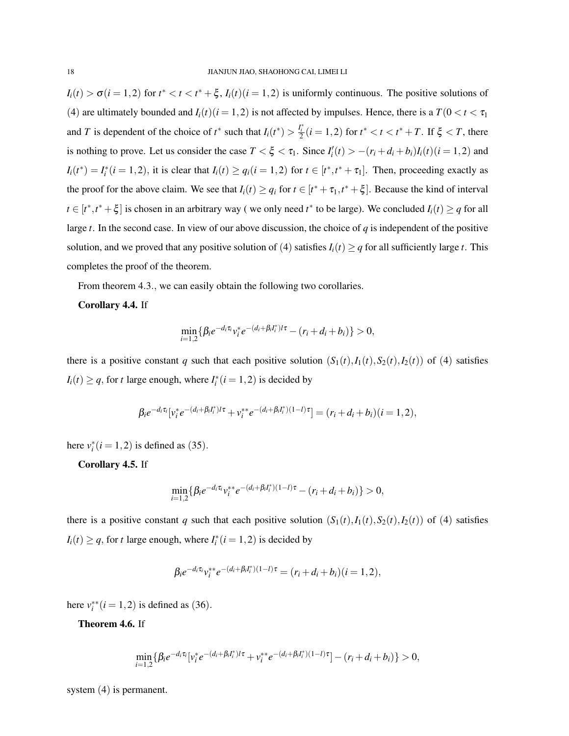$I_i(t) > \sigma(i = 1, 2)$  for  $t^* < t < t^* + \xi$ ,  $I_i(t)(i = 1, 2)$  is uniformly continuous. The positive solutions of (4) are ultimately bounded and  $I_i(t)$  ( $i = 1, 2$ ) is not affected by impulses. Hence, there is a  $T(0 < t < \tau_1$ and *T* is dependent of the choice of  $t^*$  such that  $I_i(t^*) > \frac{I_i^*}{2}(i = 1, 2)$  for  $t^* < t < t^* + T$ . If  $\xi < T$ , there is nothing to prove. Let us consider the case  $T < \xi < \tau_1$ . Since  $I'_i(t) > -(r_i + d_i + b_i)I_i(t)(i = 1, 2)$  and  $I_i(t^*) = I_i^*(i = 1, 2)$ , it is clear that  $I_i(t) \ge q_i(i = 1, 2)$  for  $t \in [t^*, t^* + \tau_1]$ . Then, proceeding exactly as the proof for the above claim. We see that  $I_i(t) \ge q_i$  for  $t \in [t^* + \tau_1, t^* + \xi]$ . Because the kind of interval  $t \in [t^*, t^* + \xi]$  is chosen in an arbitrary way (we only need  $t^*$  to be large). We concluded  $I_i(t) \geq q$  for all large *t*. In the second case. In view of our above discussion, the choice of *q* is independent of the positive solution, and we proved that any positive solution of (4) satisfies  $I_i(t) \geq q$  for all sufficiently large *t*. This completes the proof of the theorem.

From theorem 4.3., we can easily obtain the following two corollaries.

### Corollary 4.4. If

$$
\min_{i=1,2} \{ \beta_i e^{-d_i \tau_i} v_i^* e^{-(d_i + \beta_i I_i^*) / \tau} - (r_i + d_i + b_i) \} > 0,
$$

there is a positive constant *q* such that each positive solution  $(S_1(t), I_1(t), S_2(t), I_2(t))$  of (4) satisfies  $I_i(t) \geq q$ , for *t* large enough, where  $I_i^*(i = 1, 2)$  is decided by

$$
\beta_i e^{-d_i \tau_i} [v_i^* e^{-(d_i + \beta_i I_i^*)l\tau} + v_i^{**} e^{-(d_i + \beta_i I_i^*) (1-l)\tau}] = (r_i + d_i + b_i)(i = 1, 2),
$$

here  $v_i^*(i = 1, 2)$  is defined as (35).

Corollary 4.5. If

$$
\min_{i=1,2} \{ \beta_i e^{-d_i \tau_i} v_i^{**} e^{-(d_i + \beta_i I_i^*)(1 - l)\tau} - (r_i + d_i + b_i) \} > 0,
$$

there is a positive constant *q* such that each positive solution  $(S_1(t), I_1(t), S_2(t), I_2(t))$  of (4) satisfies  $I_i(t) \geq q$ , for *t* large enough, where  $I_i^*(i = 1, 2)$  is decided by

$$
\beta_i e^{-d_i \tau_i} v_i^{**} e^{-(d_i + \beta_i I_i^*)(1 - l)\tau} = (r_i + d_i + b_i)(i = 1, 2),
$$

here  $v_i^{**}$  (*i* = 1, 2) is defined as (36).

Theorem 4.6. If

$$
\min_{i=1,2} \{ \beta_i e^{-d_i \tau_i} [v_i^* e^{-(d_i + \beta_i I_i^*)/\tau} + v_i^{**} e^{-(d_i + \beta_i I_i^*) (1-l)\tau}] - (r_i + d_i + b_i) \} > 0,
$$

system (4) is permanent.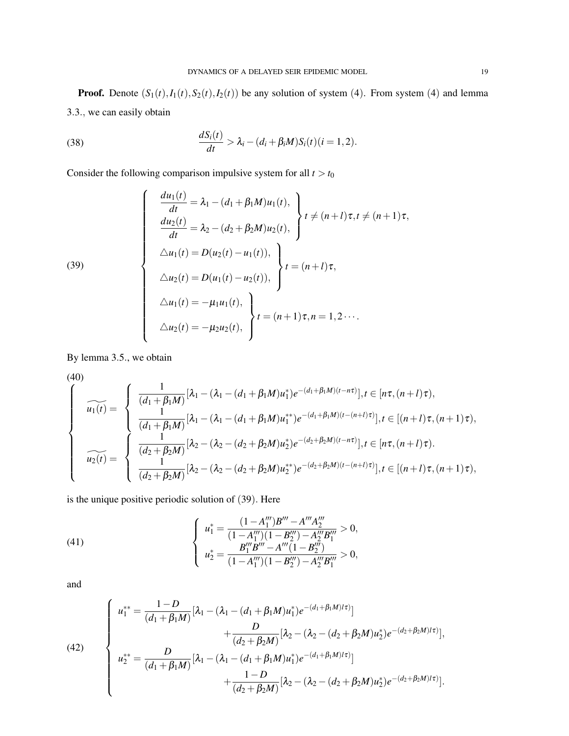**Proof.** Denote  $(S_1(t), I_1(t), S_2(t), I_2(t))$  be any solution of system (4). From system (4) and lemma 3.3., we can easily obtain

(38) 
$$
\frac{dS_i(t)}{dt} > \lambda_i - (d_i + \beta_i M)S_i(t)(i = 1, 2).
$$

Consider the following comparison impulsive system for all  $t > t_0$ 

(39)  

$$
\begin{cases}\n\frac{du_1(t)}{dt} = \lambda_1 - (d_1 + \beta_1 M)u_1(t), \\
\frac{du_2(t)}{dt} = \lambda_2 - (d_2 + \beta_2 M)u_2(t), \\
\Delta u_1(t) = D(u_2(t) - u_1(t)), \\
\Delta u_2(t) = D(u_1(t) - u_2(t)),\n\end{cases} t = (n+l)\tau, \\
\Delta u_1(t) = -\mu_1 u_1(t), \\
\Delta u_2(t) = -\mu_2 u_2(t),\n\begin{cases}\nt = (n+1)\tau, n = 1, 2 \cdots \\
\tau = (n+1)\tau, n = 1, 2 \cdots\n\end{cases}
$$

By lemma 3.5., we obtain

(40)  
\n
$$
\widehat{u_1(t)} = \begin{cases}\n\frac{1}{(d_1 + \beta_1 M)} [\lambda_1 - (\lambda_1 - (d_1 + \beta_1 M) u_1^*) e^{-(d_1 + \beta_1 M)(t - n\tau)}], t \in [n\tau, (n + l)\tau), \\
\frac{1}{(d_1 + \beta_1 M)} [\lambda_1 - (\lambda_1 - (d_1 + \beta_1 M) u_1^{**}) e^{-(d_1 + \beta_1 M)(t - (n + l)\tau)}], t \in [(n + l)\tau, (n + 1)\tau), \\
\frac{1}{(d_2 + \beta_2 M)} [\lambda_2 - (\lambda_2 - (d_2 + \beta_2 M) u_2^*) e^{-(d_2 + \beta_2 M)(t - n\tau)}], t \in [n\tau, (n + l)\tau), \\
\frac{1}{(d_2 + \beta_2 M)} [\lambda_2 - (\lambda_2 - (d_2 + \beta_2 M) u_2^{**}) e^{-(d_2 + \beta_2 M)(t - (n + l)\tau)}], t \in [(n + l)\tau, (n + 1)\tau),\n\end{cases}
$$

is the unique positive periodic solution of (39). Here

(41) 
$$
\begin{cases} u_1^* = \frac{(1 - A_1^{\prime \prime \prime})B^{\prime \prime \prime} - A^{\prime \prime \prime} A_2^{\prime \prime \prime}}{(1 - A_1^{\prime \prime \prime})(1 - B_2^{\prime \prime \prime}) - A_2^{\prime \prime \prime} B_1^{\prime \prime \prime}} > 0, \\ u_2^* = \frac{B_1^{\prime \prime \prime} B^{\prime \prime \prime \prime} - A^{\prime \prime \prime}(1 - B_2^{\prime \prime \prime})}{(1 - A_1^{\prime \prime \prime})(1 - B_2^{\prime \prime \prime}) - A_2^{\prime \prime \prime} B_1^{\prime \prime \prime}} > 0, \end{cases}
$$

and

(42)  

$$
\begin{cases}\nu_1^{**} = \frac{1-D}{(d_1 + \beta_1 M)} [\lambda_1 - (\lambda_1 - (d_1 + \beta_1 M) u_1^*) e^{-(d_1 + \beta_1 M) t})] \\
+ \frac{D}{(d_2 + \beta_2 M)} [\lambda_2 - (\lambda_2 - (d_2 + \beta_2 M) u_2^*) e^{-(d_2 + \beta_2 M) t})], \\
u_2^{**} = \frac{D}{(d_1 + \beta_1 M)} [\lambda_1 - (\lambda_1 - (d_1 + \beta_1 M) u_1^*) e^{-(d_1 + \beta_1 M) t})] \\
+ \frac{1-D}{(d_2 + \beta_2 M)} [\lambda_2 - (\lambda_2 - (d_2 + \beta_2 M) u_2^*) e^{-(d_2 + \beta_2 M) t})].\n\end{cases}
$$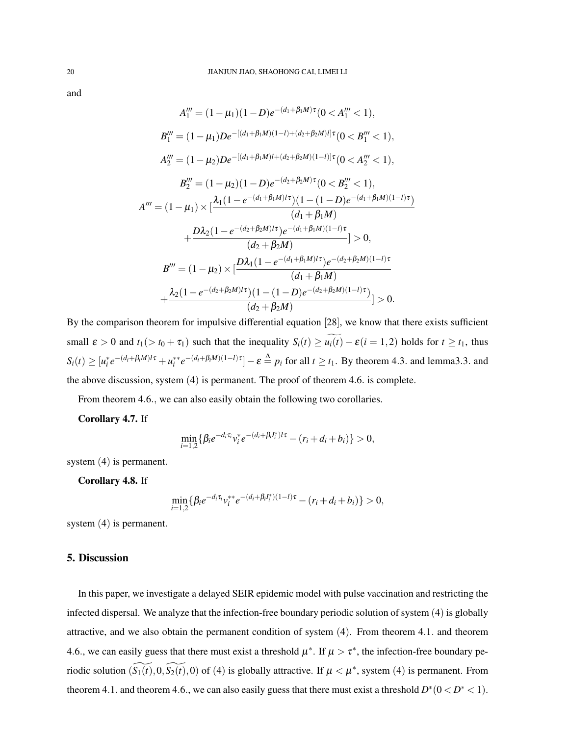and

$$
A_1''' = (1 - \mu_1)(1 - D)e^{-(d_1 + \beta_1 M)\tau}(0 < A_1''' < 1),
$$
  
\n
$$
B_1''' = (1 - \mu_1)De^{-[(d_1 + \beta_1 M)(1 - l) + (d_2 + \beta_2 M)l]\tau}(0 < B_1''' < 1),
$$
  
\n
$$
A_2''' = (1 - \mu_2)De^{-[(d_1 + \beta_1 M)l + (d_2 + \beta_2 M)(1 - l)]\tau}(0 < A_2''' < 1),
$$
  
\n
$$
B_2''' = (1 - \mu_2)(1 - D)e^{-(d_2 + \beta_2 M)\tau}(0 < B_2''' < 1),
$$
  
\n
$$
A''' = (1 - \mu_1) \times \left[\frac{\lambda_1(1 - e^{-(d_1 + \beta_1 M)l\tau})(1 - (1 - D)e^{-(d_1 + \beta_1 M)(1 - l)\tau})}{(d_1 + \beta_1 M)}\right]
$$
  
\n
$$
+ \frac{D\lambda_2(1 - e^{-(d_2 + \beta_2 M)l\tau})e^{-(d_1 + \beta_1 M)(1 - l)\tau}}{(d_2 + \beta_2 M)} > 0,
$$
  
\n
$$
B''' = (1 - \mu_2) \times \left[\frac{D\lambda_1(1 - e^{-(d_1 + \beta_1 M)l\tau})e^{-(d_2 + \beta_2 M)(1 - l)\tau}}{(d_1 + \beta_1 M)}\right]
$$
  
\n
$$
+ \frac{\lambda_2(1 - e^{-(d_2 + \beta_2 M)l\tau})(1 - (1 - D)e^{-(d_2 + \beta_2 M)(1 - l)\tau})}{(d_2 + \beta_2 M)} > 0.
$$

By the comparison theorem for impulsive differential equation [28], we know that there exists sufficient small  $\varepsilon > 0$  and  $t_1(> t_0 + \tau_1)$  such that the inequality  $S_i(t) \ge \widetilde{u_i(t)} - \varepsilon (i = 1, 2)$  holds for  $t \ge t_1$ , thus  $S_i(t) \geq [u_i^* e^{-(d_i + \beta_i M)t} + u_i^{**} e^{-(d_i + \beta_i M)(1-t)\tau}] - \varepsilon \stackrel{\Delta}{=} p_i$  for all  $t \geq t_1$ . By theorem 4.3. and lemma3.3. and the above discussion, system (4) is permanent. The proof of theorem 4.6. is complete.

From theorem 4.6., we can also easily obtain the following two corollaries.

### Corollary 4.7. If

$$
\min_{i=1,2} \{ \beta_i e^{-d_i \tau_i} v_i^* e^{-(d_i + \beta_i I_i^*) / \tau} - (r_i + d_i + b_i) \} > 0,
$$

system (4) is permanent.

Corollary 4.8. If

$$
\min_{i=1,2} \{ \beta_i e^{-d_i \tau_i} v_i^{**} e^{-(d_i + \beta_i I_i^*)(1 - l)\tau} - (r_i + d_i + b_i) \} > 0,
$$

system (4) is permanent.

### 5. Discussion

In this paper, we investigate a delayed SEIR epidemic model with pulse vaccination and restricting the infected dispersal. We analyze that the infection-free boundary periodic solution of system (4) is globally attractive, and we also obtain the permanent condition of system (4). From theorem 4.1. and theorem 4.6., we can easily guess that there must exist a threshold  $\mu^*$ . If  $\mu > \tau^*$ , the infection-free boundary periodic solution  $(\widetilde{S_1(t)},0,\widetilde{S_2(t)},0)$  of (4) is globally attractive. If  $\mu < \mu^*$ , system (4) is permanent. From theorem 4.1. and theorem 4.6., we can also easily guess that there must exist a threshold  $D^*(0 < D^* < 1)$ .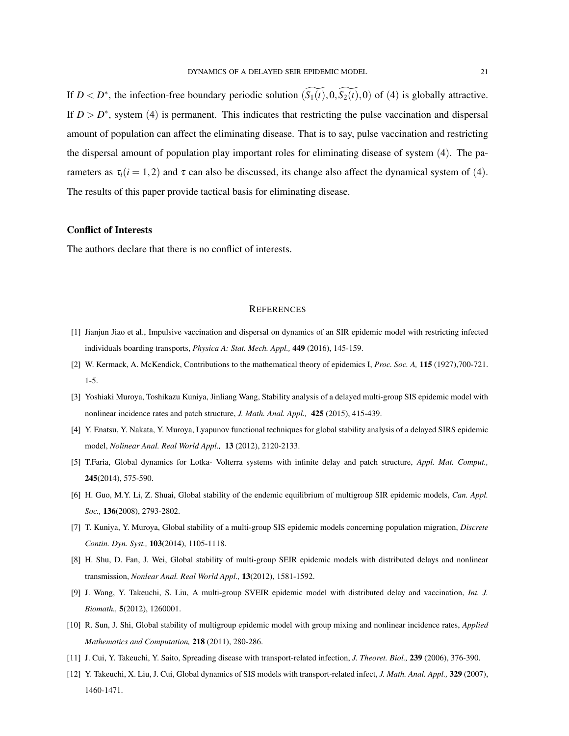If  $D < D^*$ , the infection-free boundary periodic solution  $(\widetilde{S_1(t)}, 0, \widetilde{S_2(t)}, 0)$  of (4) is globally attractive. If  $D > D^*$ , system (4) is permanent. This indicates that restricting the pulse vaccination and dispersal amount of population can affect the eliminating disease. That is to say, pulse vaccination and restricting the dispersal amount of population play important roles for eliminating disease of system (4). The parameters as  $\tau_i(i=1,2)$  and  $\tau$  can also be discussed, its change also affect the dynamical system of (4). The results of this paper provide tactical basis for eliminating disease.

#### Conflict of Interests

The authors declare that there is no conflict of interests.

#### **REFERENCES**

- [1] Jianjun Jiao et al., Impulsive vaccination and dispersal on dynamics of an SIR epidemic model with restricting infected individuals boarding transports, *Physica A: Stat. Mech. Appl.,* 449 (2016), 145-159.
- [2] W. Kermack, A. McKendick, Contributions to the mathematical theory of epidemics I, *Proc. Soc. A,* 115 (1927),700-721. 1-5.
- [3] Yoshiaki Muroya, Toshikazu Kuniya, Jinliang Wang, Stability analysis of a delayed multi-group SIS epidemic model with nonlinear incidence rates and patch structure, *J. Math. Anal. Appl.,* 425 (2015), 415-439.
- [4] Y. Enatsu, Y. Nakata, Y. Muroya, Lyapunov functional techniques for global stability analysis of a delayed SIRS epidemic model, *Nolinear Anal. Real World Appl.,* 13 (2012), 2120-2133.
- [5] T.Faria, Global dynamics for Lotka- Volterra systems with infinite delay and patch structure, *Appl. Mat. Comput.,* 245(2014), 575-590.
- [6] H. Guo, M.Y. Li, Z. Shuai, Global stability of the endemic equilibrium of multigroup SIR epidemic models, *Can. Appl. Soc.,* 136(2008), 2793-2802.
- [7] T. Kuniya, Y. Muroya, Global stability of a multi-group SIS epidemic models concerning population migration, *Discrete Contin. Dyn. Syst.,* 103(2014), 1105-1118.
- [8] H. Shu, D. Fan, J. Wei, Global stability of multi-group SEIR epidemic models with distributed delays and nonlinear transmission, *Nonlear Anal. Real World Appl.,* 13(2012), 1581-1592.
- [9] J. Wang, Y. Takeuchi, S. Liu, A multi-group SVEIR epidemic model with distributed delay and vaccination, *Int. J. Biomath.,* 5(2012), 1260001.
- [10] R. Sun, J. Shi, Global stability of multigroup epidemic model with group mixing and nonlinear incidence rates, *Applied Mathematics and Computation,* 218 (2011), 280-286.
- [11] J. Cui, Y. Takeuchi, Y. Saito, Spreading disease with transport-related infection, *J. Theoret. Biol.,* 239 (2006), 376-390.
- [12] Y. Takeuchi, X. Liu, J. Cui, Global dynamics of SIS models with transport-related infect, *J. Math. Anal. Appl.,* 329 (2007), 1460-1471.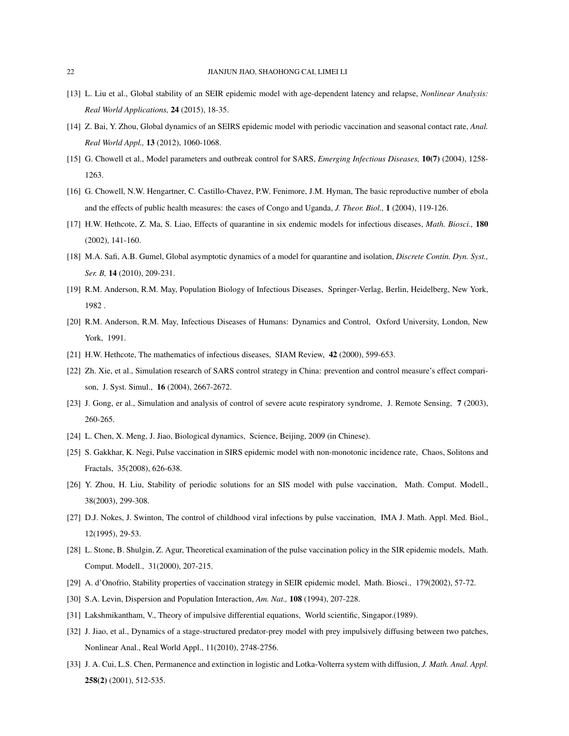- [13] L. Liu et al., Global stability of an SEIR epidemic model with age-dependent latency and relapse, *Nonlinear Analysis: Real World Applications,* 24 (2015), 18-35.
- [14] Z. Bai, Y. Zhou, Global dynamics of an SEIRS epidemic model with periodic vaccination and seasonal contact rate, *Anal. Real World Appl.,* 13 (2012), 1060-1068.
- [15] G. Chowell et al., Model parameters and outbreak control for SARS, *Emerging Infectious Diseases,* 10(7) (2004), 1258- 1263.
- [16] G. Chowell, N.W. Hengartner, C. Castillo-Chavez, P.W. Fenimore, J.M. Hyman, The basic reproductive number of ebola and the effects of public health measures: the cases of Congo and Uganda, *J. Theor. Biol.,* 1 (2004), 119-126.
- [17] H.W. Hethcote, Z. Ma, S. Liao, Effects of quarantine in six endemic models for infectious diseases, *Math. Biosci.,* 180 (2002), 141-160.
- [18] M.A. Safi, A.B. Gumel, Global asymptotic dynamics of a model for quarantine and isolation, *Discrete Contin. Dyn. Syst., Ser. B,* 14 (2010), 209-231.
- [19] R.M. Anderson, R.M. May, Population Biology of Infectious Diseases, Springer-Verlag, Berlin, Heidelberg, New York, 1982 .
- [20] R.M. Anderson, R.M. May, Infectious Diseases of Humans: Dynamics and Control, Oxford University, London, New York, 1991.
- [21] H.W. Hethcote, The mathematics of infectious diseases, SIAM Review, 42 (2000), 599-653.
- [22] Zh. Xie, et al., Simulation research of SARS control strategy in China: prevention and control measure's effect comparison, J. Syst. Simul., 16 (2004), 2667-2672.
- [23] J. Gong, er al., Simulation and analysis of control of severe acute respiratory syndrome, J. Remote Sensing, 7 (2003), 260-265.
- [24] L. Chen, X. Meng, J. Jiao, Biological dynamics, Science, Beijing, 2009 (in Chinese).
- [25] S. Gakkhar, K. Negi, Pulse vaccination in SIRS epidemic model with non-monotonic incidence rate, Chaos, Solitons and Fractals, 35(2008), 626-638.
- [26] Y. Zhou, H. Liu, Stability of periodic solutions for an SIS model with pulse vaccination, Math. Comput. Modell., 38(2003), 299-308.
- [27] D.J. Nokes, J. Swinton, The control of childhood viral infections by pulse vaccination, IMA J. Math. Appl. Med. Biol., 12(1995), 29-53.
- [28] L. Stone, B. Shulgin, Z. Agur, Theoretical examination of the pulse vaccination policy in the SIR epidemic models, Math. Comput. Modell., 31(2000), 207-215.
- [29] A. d'Onofrio, Stability properties of vaccination strategy in SEIR epidemic model, Math. Biosci., 179(2002), 57-72.
- [30] S.A. Levin, Dispersion and Population Interaction, *Am. Nat.*, **108** (1994), 207-228.
- [31] Lakshmikantham, V., Theory of impulsive differential equations, World scientific, Singapor.(1989).
- [32] J. Jiao, et al., Dynamics of a stage-structured predator-prey model with prey impulsively diffusing between two patches, Nonlinear Anal., Real World Appl., 11(2010), 2748-2756.
- [33] J. A. Cui, L.S. Chen, Permanence and extinction in logistic and Lotka-Volterra system with diffusion, *J. Math. Anal. Appl.* 258(2) (2001), 512-535.